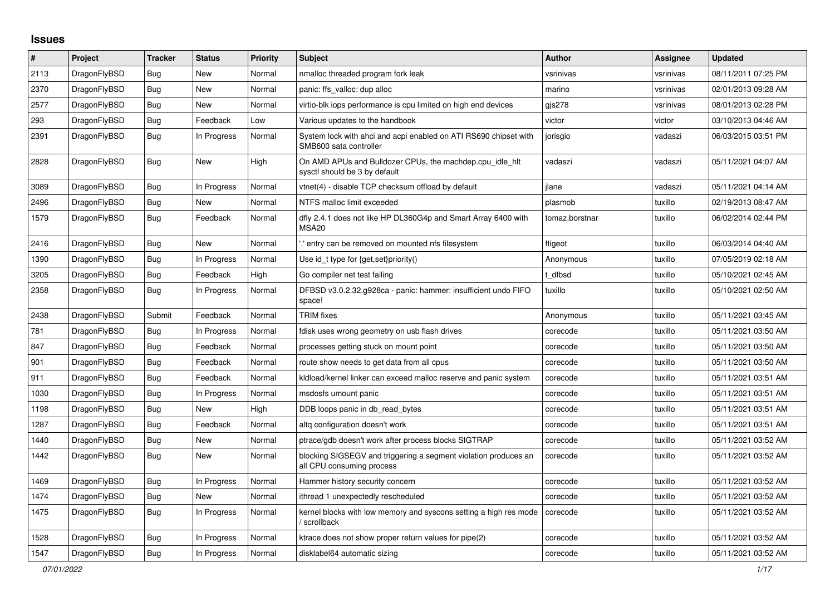## **Issues**

| $\#$ | Project      | <b>Tracker</b> | <b>Status</b> | <b>Priority</b> | <b>Subject</b>                                                                               | <b>Author</b>  | Assignee  | Updated             |
|------|--------------|----------------|---------------|-----------------|----------------------------------------------------------------------------------------------|----------------|-----------|---------------------|
| 2113 | DragonFlyBSD | <b>Bug</b>     | New           | Normal          | nmalloc threaded program fork leak                                                           | vsrinivas      | vsrinivas | 08/11/2011 07:25 PM |
| 2370 | DragonFlyBSD | Bug            | New           | Normal          | panic: ffs valloc: dup alloc                                                                 | marino         | vsrinivas | 02/01/2013 09:28 AM |
| 2577 | DragonFlyBSD | <b>Bug</b>     | New           | Normal          | virtio-blk iops performance is cpu limited on high end devices                               | gjs278         | vsrinivas | 08/01/2013 02:28 PM |
| 293  | DragonFlyBSD | Bug            | Feedback      | Low             | Various updates to the handbook                                                              | victor         | victor    | 03/10/2013 04:46 AM |
| 2391 | DragonFlyBSD | <b>Bug</b>     | In Progress   | Normal          | System lock with ahci and acpi enabled on ATI RS690 chipset with<br>SMB600 sata controller   | jorisgio       | vadaszi   | 06/03/2015 03:51 PM |
| 2828 | DragonFlyBSD | <b>Bug</b>     | New           | High            | On AMD APUs and Bulldozer CPUs, the machdep.cpu idle hit<br>sysctl should be 3 by default    | vadaszi        | vadaszi   | 05/11/2021 04:07 AM |
| 3089 | DragonFlyBSD | <b>Bug</b>     | In Progress   | Normal          | vtnet(4) - disable TCP checksum offload by default                                           | ilane          | vadaszi   | 05/11/2021 04:14 AM |
| 2496 | DragonFlyBSD | Bug            | New           | Normal          | NTFS malloc limit exceeded                                                                   | plasmob        | tuxillo   | 02/19/2013 08:47 AM |
| 1579 | DragonFlyBSD | Bug            | Feedback      | Normal          | dfly 2.4.1 does not like HP DL360G4p and Smart Array 6400 with<br><b>MSA20</b>               | tomaz.borstnar | tuxillo   | 06/02/2014 02:44 PM |
| 2416 | DragonFlyBSD | <b>Bug</b>     | New           | Normal          | ".' entry can be removed on mounted nfs filesystem                                           | ftigeot        | tuxillo   | 06/03/2014 04:40 AM |
| 1390 | DragonFlyBSD | Bug            | In Progress   | Normal          | Use id_t type for {get, set}priority()                                                       | Anonymous      | tuxillo   | 07/05/2019 02:18 AM |
| 3205 | DragonFlyBSD | Bug            | Feedback      | High            | Go compiler net test failing                                                                 | t dfbsd        | tuxillo   | 05/10/2021 02:45 AM |
| 2358 | DragonFlyBSD | Bug            | In Progress   | Normal          | DFBSD v3.0.2.32.g928ca - panic: hammer: insufficient undo FIFO<br>space!                     | tuxillo        | tuxillo   | 05/10/2021 02:50 AM |
| 2438 | DragonFlyBSD | Submit         | Feedback      | Normal          | <b>TRIM</b> fixes                                                                            | Anonymous      | tuxillo   | 05/11/2021 03:45 AM |
| 781  | DragonFlyBSD | Bug            | In Progress   | Normal          | fdisk uses wrong geometry on usb flash drives                                                | corecode       | tuxillo   | 05/11/2021 03:50 AM |
| 847  | DragonFlyBSD | <b>Bug</b>     | Feedback      | Normal          | processes getting stuck on mount point                                                       | corecode       | tuxillo   | 05/11/2021 03:50 AM |
| 901  | DragonFlyBSD | <b>Bug</b>     | Feedback      | Normal          | route show needs to get data from all cpus                                                   | corecode       | tuxillo   | 05/11/2021 03:50 AM |
| 911  | DragonFlyBSD | <b>Bug</b>     | Feedback      | Normal          | kldload/kernel linker can exceed malloc reserve and panic system                             | corecode       | tuxillo   | 05/11/2021 03:51 AM |
| 1030 | DragonFlyBSD | Bug            | In Progress   | Normal          | msdosfs umount panic                                                                         | corecode       | tuxillo   | 05/11/2021 03:51 AM |
| 1198 | DragonFlyBSD | Bug            | <b>New</b>    | High            | DDB loops panic in db read bytes                                                             | corecode       | tuxillo   | 05/11/2021 03:51 AM |
| 1287 | DragonFlyBSD | Bug            | Feedback      | Normal          | altg configuration doesn't work                                                              | corecode       | tuxillo   | 05/11/2021 03:51 AM |
| 1440 | DragonFlyBSD | Bug            | <b>New</b>    | Normal          | ptrace/gdb doesn't work after process blocks SIGTRAP                                         | corecode       | tuxillo   | 05/11/2021 03:52 AM |
| 1442 | DragonFlyBSD | Bug            | New           | Normal          | blocking SIGSEGV and triggering a segment violation produces an<br>all CPU consuming process | corecode       | tuxillo   | 05/11/2021 03:52 AM |
| 1469 | DragonFlyBSD | Bug            | In Progress   | Normal          | Hammer history security concern                                                              | corecode       | tuxillo   | 05/11/2021 03:52 AM |
| 1474 | DragonFlyBSD | <b>Bug</b>     | New           | Normal          | ithread 1 unexpectedly rescheduled                                                           | corecode       | tuxillo   | 05/11/2021 03:52 AM |
| 1475 | DragonFlyBSD | Bug            | In Progress   | Normal          | kernel blocks with low memory and syscons setting a high res mode<br>/ scrollback            | corecode       | tuxillo   | 05/11/2021 03:52 AM |
| 1528 | DragonFlyBSD | <b>Bug</b>     | In Progress   | Normal          | ktrace does not show proper return values for pipe(2)                                        | corecode       | tuxillo   | 05/11/2021 03:52 AM |
| 1547 | DragonFlyBSD | Bug            | In Progress   | Normal          | disklabel64 automatic sizing                                                                 | corecode       | tuxillo   | 05/11/2021 03:52 AM |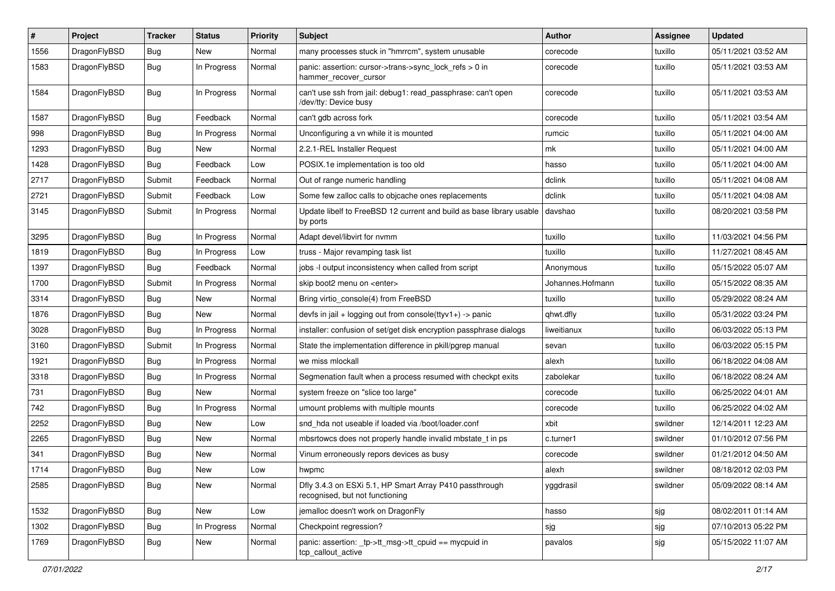| #    | Project      | <b>Tracker</b> | <b>Status</b> | <b>Priority</b> | Subject                                                                                    | Author           | Assignee | <b>Updated</b>      |
|------|--------------|----------------|---------------|-----------------|--------------------------------------------------------------------------------------------|------------------|----------|---------------------|
| 1556 | DragonFlyBSD | <b>Bug</b>     | New           | Normal          | many processes stuck in "hmrrcm", system unusable                                          | corecode         | tuxillo  | 05/11/2021 03:52 AM |
| 1583 | DragonFlyBSD | <b>Bug</b>     | In Progress   | Normal          | panic: assertion: cursor->trans->sync_lock_refs > 0 in<br>hammer_recover_cursor            | corecode         | tuxillo  | 05/11/2021 03:53 AM |
| 1584 | DragonFlyBSD | Bug            | In Progress   | Normal          | can't use ssh from jail: debug1: read passphrase: can't open<br>/dev/tty: Device busy      | corecode         | tuxillo  | 05/11/2021 03:53 AM |
| 1587 | DragonFlyBSD | <b>Bug</b>     | Feedback      | Normal          | can't gdb across fork                                                                      | corecode         | tuxillo  | 05/11/2021 03:54 AM |
| 998  | DragonFlyBSD | <b>Bug</b>     | In Progress   | Normal          | Unconfiguring a vn while it is mounted                                                     | rumcic           | tuxillo  | 05/11/2021 04:00 AM |
| 1293 | DragonFlyBSD | <b>Bug</b>     | New           | Normal          | 2.2.1-REL Installer Request                                                                | mk               | tuxillo  | 05/11/2021 04:00 AM |
| 1428 | DragonFlyBSD | <b>Bug</b>     | Feedback      | Low             | POSIX.1e implementation is too old                                                         | hasso            | tuxillo  | 05/11/2021 04:00 AM |
| 2717 | DragonFlyBSD | Submit         | Feedback      | Normal          | Out of range numeric handling                                                              | dclink           | tuxillo  | 05/11/2021 04:08 AM |
| 2721 | DragonFlyBSD | Submit         | Feedback      | Low             | Some few zalloc calls to objcache ones replacements                                        | dclink           | tuxillo  | 05/11/2021 04:08 AM |
| 3145 | DragonFlyBSD | Submit         | In Progress   | Normal          | Update libelf to FreeBSD 12 current and build as base library usable<br>by ports           | davshao          | tuxillo  | 08/20/2021 03:58 PM |
| 3295 | DragonFlyBSD | <b>Bug</b>     | In Progress   | Normal          | Adapt devel/libvirt for nvmm                                                               | tuxillo          | tuxillo  | 11/03/2021 04:56 PM |
| 1819 | DragonFlyBSD | <b>Bug</b>     | In Progress   | Low             | truss - Major revamping task list                                                          | tuxillo          | tuxillo  | 11/27/2021 08:45 AM |
| 1397 | DragonFlyBSD | <b>Bug</b>     | Feedback      | Normal          | jobs -I output inconsistency when called from script                                       | Anonymous        | tuxillo  | 05/15/2022 05:07 AM |
| 1700 | DragonFlyBSD | Submit         | In Progress   | Normal          | skip boot2 menu on <enter></enter>                                                         | Johannes.Hofmann | tuxillo  | 05/15/2022 08:35 AM |
| 3314 | DragonFlyBSD | Bug            | New           | Normal          | Bring virtio_console(4) from FreeBSD                                                       | tuxillo          | tuxillo  | 05/29/2022 08:24 AM |
| 1876 | DragonFlyBSD | <b>Bug</b>     | New           | Normal          | devfs in jail + logging out from console(ttyv1+) -> panic                                  | qhwt.dfly        | tuxillo  | 05/31/2022 03:24 PM |
| 3028 | DragonFlyBSD | <b>Bug</b>     | In Progress   | Normal          | installer: confusion of set/get disk encryption passphrase dialogs                         | liweitianux      | tuxillo  | 06/03/2022 05:13 PM |
| 3160 | DragonFlyBSD | Submit         | In Progress   | Normal          | State the implementation difference in pkill/pgrep manual                                  | sevan            | tuxillo  | 06/03/2022 05:15 PM |
| 1921 | DragonFlyBSD | <b>Bug</b>     | In Progress   | Normal          | we miss mlockall                                                                           | alexh            | tuxillo  | 06/18/2022 04:08 AM |
| 3318 | DragonFlyBSD | Bug            | In Progress   | Normal          | Segmenation fault when a process resumed with checkpt exits                                | zabolekar        | tuxillo  | 06/18/2022 08:24 AM |
| 731  | DragonFlyBSD | <b>Bug</b>     | New           | Normal          | system freeze on "slice too large"                                                         | corecode         | tuxillo  | 06/25/2022 04:01 AM |
| 742  | DragonFlyBSD | <b>Bug</b>     | In Progress   | Normal          | umount problems with multiple mounts                                                       | corecode         | tuxillo  | 06/25/2022 04:02 AM |
| 2252 | DragonFlyBSD | Bug            | <b>New</b>    | Low             | snd_hda not useable if loaded via /boot/loader.conf                                        | xbit             | swildner | 12/14/2011 12:23 AM |
| 2265 | DragonFlyBSD | <b>Bug</b>     | <b>New</b>    | Normal          | mbsrtowcs does not properly handle invalid mbstate t in ps                                 | c.turner1        | swildner | 01/10/2012 07:56 PM |
| 341  | DragonFlyBSD | <b>Bug</b>     | New           | Normal          | Vinum erroneously repors devices as busy                                                   | corecode         | swildner | 01/21/2012 04:50 AM |
| 1714 | DragonFlyBSD | Bug            | <b>New</b>    | Low             | hwpmc                                                                                      | alexh            | swildner | 08/18/2012 02:03 PM |
| 2585 | DragonFlyBSD | Bug            | New           | Normal          | Dfly 3.4.3 on ESXi 5.1, HP Smart Array P410 passthrough<br>recognised, but not functioning | yggdrasil        | swildner | 05/09/2022 08:14 AM |
| 1532 | DragonFlyBSD | Bug            | New           | Low             | jemalloc doesn't work on DragonFly                                                         | hasso            | sjg      | 08/02/2011 01:14 AM |
| 1302 | DragonFlyBSD | <b>Bug</b>     | In Progress   | Normal          | Checkpoint regression?                                                                     | sjg              | sjg      | 07/10/2013 05:22 PM |
| 1769 | DragonFlyBSD | Bug            | New           | Normal          | panic: assertion: _tp->tt_msg->tt_cpuid == mycpuid in<br>tcp_callout_active                | pavalos          | sjg      | 05/15/2022 11:07 AM |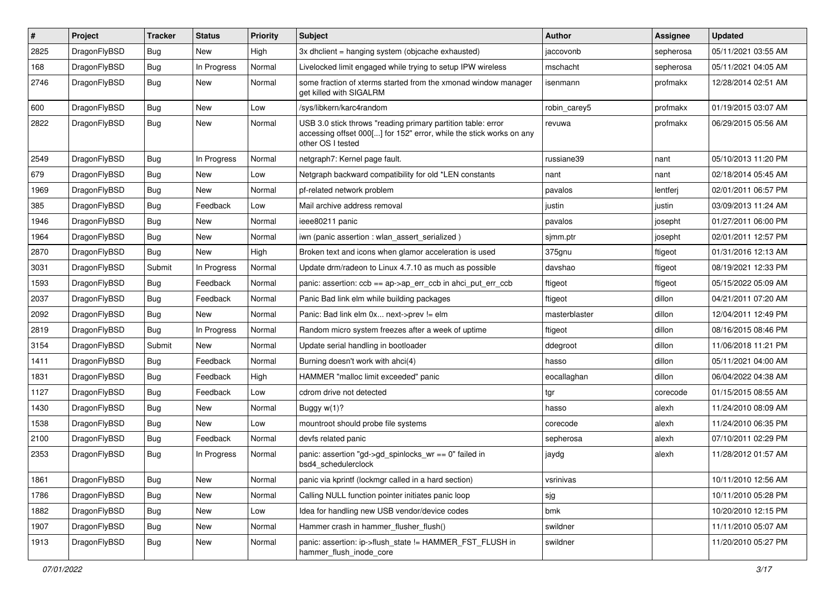| $\vert$ # | Project      | <b>Tracker</b> | <b>Status</b> | <b>Priority</b> | <b>Subject</b>                                                                                                                                           | <b>Author</b> | Assignee  | <b>Updated</b>      |
|-----------|--------------|----------------|---------------|-----------------|----------------------------------------------------------------------------------------------------------------------------------------------------------|---------------|-----------|---------------------|
| 2825      | DragonFlyBSD | Bug            | <b>New</b>    | High            | 3x dhclient = hanging system (objcache exhausted)                                                                                                        | jaccovonb     | sepherosa | 05/11/2021 03:55 AM |
| 168       | DragonFlyBSD | <b>Bug</b>     | In Progress   | Normal          | Livelocked limit engaged while trying to setup IPW wireless                                                                                              | mschacht      | sepherosa | 05/11/2021 04:05 AM |
| 2746      | DragonFlyBSD | <b>Bug</b>     | <b>New</b>    | Normal          | some fraction of xterms started from the xmonad window manager<br>get killed with SIGALRM                                                                | isenmann      | profmakx  | 12/28/2014 02:51 AM |
| 600       | DragonFlyBSD | <b>Bug</b>     | <b>New</b>    | Low             | /sys/libkern/karc4random                                                                                                                                 | robin_carey5  | profmakx  | 01/19/2015 03:07 AM |
| 2822      | DragonFlyBSD | <b>Bug</b>     | New           | Normal          | USB 3.0 stick throws "reading primary partition table: error<br>accessing offset 000[] for 152" error, while the stick works on any<br>other OS I tested | revuwa        | profmakx  | 06/29/2015 05:56 AM |
| 2549      | DragonFlyBSD | <b>Bug</b>     | In Progress   | Normal          | netgraph7: Kernel page fault.                                                                                                                            | russiane39    | nant      | 05/10/2013 11:20 PM |
| 679       | DragonFlyBSD | <b>Bug</b>     | <b>New</b>    | Low             | Netgraph backward compatibility for old *LEN constants                                                                                                   | nant          | nant      | 02/18/2014 05:45 AM |
| 1969      | DragonFlyBSD | <b>Bug</b>     | New           | Normal          | pf-related network problem                                                                                                                               | pavalos       | lentferj  | 02/01/2011 06:57 PM |
| 385       | DragonFlyBSD | <b>Bug</b>     | Feedback      | Low             | Mail archive address removal                                                                                                                             | justin        | justin    | 03/09/2013 11:24 AM |
| 1946      | DragonFlyBSD | <b>Bug</b>     | <b>New</b>    | Normal          | ieee80211 panic                                                                                                                                          | pavalos       | josepht   | 01/27/2011 06:00 PM |
| 1964      | DragonFlyBSD | <b>Bug</b>     | New           | Normal          | iwn (panic assertion : wlan assert serialized)                                                                                                           | sjmm.ptr      | josepht   | 02/01/2011 12:57 PM |
| 2870      | DragonFlyBSD | Bug            | <b>New</b>    | High            | Broken text and icons when glamor acceleration is used                                                                                                   | 375gnu        | ftigeot   | 01/31/2016 12:13 AM |
| 3031      | DragonFlyBSD | Submit         | In Progress   | Normal          | Update drm/radeon to Linux 4.7.10 as much as possible                                                                                                    | davshao       | ftigeot   | 08/19/2021 12:33 PM |
| 1593      | DragonFlyBSD | Bug            | Feedback      | Normal          | panic: assertion: $ccb == ap \rightarrow ap$ err $ccb$ in ahci put err $ccb$                                                                             | ftigeot       | ftigeot   | 05/15/2022 05:09 AM |
| 2037      | DragonFlyBSD | Bug            | Feedback      | Normal          | Panic Bad link elm while building packages                                                                                                               | ftigeot       | dillon    | 04/21/2011 07:20 AM |
| 2092      | DragonFlyBSD | <b>Bug</b>     | New           | Normal          | Panic: Bad link elm 0x next->prev != elm                                                                                                                 | masterblaster | dillon    | 12/04/2011 12:49 PM |
| 2819      | DragonFlyBSD | Bug            | In Progress   | Normal          | Random micro system freezes after a week of uptime                                                                                                       | ftigeot       | dillon    | 08/16/2015 08:46 PM |
| 3154      | DragonFlyBSD | Submit         | New           | Normal          | Update serial handling in bootloader                                                                                                                     | ddegroot      | dillon    | 11/06/2018 11:21 PM |
| 1411      | DragonFlyBSD | Bug            | Feedback      | Normal          | Burning doesn't work with ahci(4)                                                                                                                        | hasso         | dillon    | 05/11/2021 04:00 AM |
| 1831      | DragonFlyBSD | <b>Bug</b>     | Feedback      | High            | HAMMER "malloc limit exceeded" panic                                                                                                                     | eocallaghan   | dillon    | 06/04/2022 04:38 AM |
| 1127      | DragonFlyBSD | <b>Bug</b>     | Feedback      | Low             | cdrom drive not detected                                                                                                                                 | tgr           | corecode  | 01/15/2015 08:55 AM |
| 1430      | DragonFlyBSD | <b>Bug</b>     | <b>New</b>    | Normal          | Buggy w(1)?                                                                                                                                              | hasso         | alexh     | 11/24/2010 08:09 AM |
| 1538      | DragonFlyBSD | <b>Bug</b>     | <b>New</b>    | Low             | mountroot should probe file systems                                                                                                                      | corecode      | alexh     | 11/24/2010 06:35 PM |
| 2100      | DragonFlyBSD | <b>Bug</b>     | Feedback      | Normal          | devfs related panic                                                                                                                                      | sepherosa     | alexh     | 07/10/2011 02:29 PM |
| 2353      | DragonFlyBSD | Bug            | In Progress   | Normal          | panic: assertion "gd->gd_spinlocks_wr == 0" failed in<br>bsd4 schedulerclock                                                                             | jaydg         | alexh     | 11/28/2012 01:57 AM |
| 1861      | DragonFlyBSD | <b>Bug</b>     | New           | Normal          | panic via kprintf (lockmgr called in a hard section)                                                                                                     | vsrinivas     |           | 10/11/2010 12:56 AM |
| 1786      | DragonFlyBSD | <b>Bug</b>     | New           | Normal          | Calling NULL function pointer initiates panic loop                                                                                                       | sjg           |           | 10/11/2010 05:28 PM |
| 1882      | DragonFlyBSD | <b>Bug</b>     | New           | Low             | Idea for handling new USB vendor/device codes                                                                                                            | bmk           |           | 10/20/2010 12:15 PM |
| 1907      | DragonFlyBSD | Bug            | New           | Normal          | Hammer crash in hammer_flusher_flush()                                                                                                                   | swildner      |           | 11/11/2010 05:07 AM |
| 1913      | DragonFlyBSD | <b>Bug</b>     | New           | Normal          | panic: assertion: ip->flush_state != HAMMER_FST_FLUSH in<br>hammer_flush_inode_core                                                                      | swildner      |           | 11/20/2010 05:27 PM |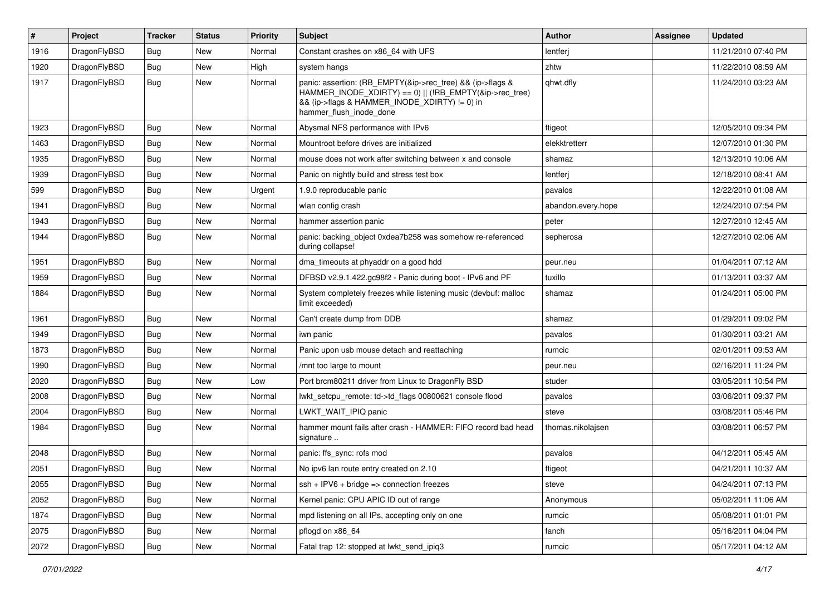| #    | Project      | <b>Tracker</b> | <b>Status</b> | <b>Priority</b> | Subject                                                                                                                                                                                           | Author             | <b>Assignee</b> | <b>Updated</b>      |
|------|--------------|----------------|---------------|-----------------|---------------------------------------------------------------------------------------------------------------------------------------------------------------------------------------------------|--------------------|-----------------|---------------------|
| 1916 | DragonFlyBSD | Bug            | <b>New</b>    | Normal          | Constant crashes on x86_64 with UFS                                                                                                                                                               | lentferj           |                 | 11/21/2010 07:40 PM |
| 1920 | DragonFlyBSD | Bug            | <b>New</b>    | High            | system hangs                                                                                                                                                                                      | zhtw               |                 | 11/22/2010 08:59 AM |
| 1917 | DragonFlyBSD | Bug            | New           | Normal          | panic: assertion: (RB_EMPTY(&ip->rec_tree) && (ip->flags &<br>HAMMER_INODE_XDIRTY) == 0)    (!RB_EMPTY(&ip->rec_tree)<br>&& (ip->flags & HAMMER INODE XDIRTY) != 0) in<br>hammer flush inode done | qhwt.dfly          |                 | 11/24/2010 03:23 AM |
| 1923 | DragonFlyBSD | Bug            | <b>New</b>    | Normal          | Abysmal NFS performance with IPv6                                                                                                                                                                 | ftigeot            |                 | 12/05/2010 09:34 PM |
| 1463 | DragonFlyBSD | Bug            | <b>New</b>    | Normal          | Mountroot before drives are initialized                                                                                                                                                           | elekktretterr      |                 | 12/07/2010 01:30 PM |
| 1935 | DragonFlyBSD | Bug            | <b>New</b>    | Normal          | mouse does not work after switching between x and console                                                                                                                                         | shamaz             |                 | 12/13/2010 10:06 AM |
| 1939 | DragonFlyBSD | Bug            | <b>New</b>    | Normal          | Panic on nightly build and stress test box                                                                                                                                                        | lentferj           |                 | 12/18/2010 08:41 AM |
| 599  | DragonFlyBSD | <b>Bug</b>     | <b>New</b>    | Urgent          | 1.9.0 reproducable panic                                                                                                                                                                          | pavalos            |                 | 12/22/2010 01:08 AM |
| 1941 | DragonFlyBSD | Bug            | <b>New</b>    | Normal          | wlan config crash                                                                                                                                                                                 | abandon.every.hope |                 | 12/24/2010 07:54 PM |
| 1943 | DragonFlyBSD | <b>Bug</b>     | <b>New</b>    | Normal          | hammer assertion panic                                                                                                                                                                            | peter              |                 | 12/27/2010 12:45 AM |
| 1944 | DragonFlyBSD | Bug            | New           | Normal          | panic: backing object 0xdea7b258 was somehow re-referenced<br>during collapse!                                                                                                                    | sepherosa          |                 | 12/27/2010 02:06 AM |
| 1951 | DragonFlyBSD | Bug            | <b>New</b>    | Normal          | dma timeouts at phyaddr on a good hdd                                                                                                                                                             | peur.neu           |                 | 01/04/2011 07:12 AM |
| 1959 | DragonFlyBSD | Bug            | <b>New</b>    | Normal          | DFBSD v2.9.1.422.gc98f2 - Panic during boot - IPv6 and PF                                                                                                                                         | tuxillo            |                 | 01/13/2011 03:37 AM |
| 1884 | DragonFlyBSD | Bug            | New           | Normal          | System completely freezes while listening music (devbuf: malloc<br>limit exceeded)                                                                                                                | shamaz             |                 | 01/24/2011 05:00 PM |
| 1961 | DragonFlyBSD | Bug            | <b>New</b>    | Normal          | Can't create dump from DDB                                                                                                                                                                        | shamaz             |                 | 01/29/2011 09:02 PM |
| 1949 | DragonFlyBSD | <b>Bug</b>     | <b>New</b>    | Normal          | iwn panic                                                                                                                                                                                         | pavalos            |                 | 01/30/2011 03:21 AM |
| 1873 | DragonFlyBSD | <b>Bug</b>     | New           | Normal          | Panic upon usb mouse detach and reattaching                                                                                                                                                       | rumcic             |                 | 02/01/2011 09:53 AM |
| 1990 | DragonFlyBSD | Bug            | <b>New</b>    | Normal          | /mnt too large to mount                                                                                                                                                                           | peur.neu           |                 | 02/16/2011 11:24 PM |
| 2020 | DragonFlyBSD | <b>Bug</b>     | New           | Low             | Port brcm80211 driver from Linux to DragonFly BSD                                                                                                                                                 | studer             |                 | 03/05/2011 10:54 PM |
| 2008 | DragonFlyBSD | Bug            | <b>New</b>    | Normal          | lwkt setcpu remote: td->td flags 00800621 console flood                                                                                                                                           | pavalos            |                 | 03/06/2011 09:37 PM |
| 2004 | DragonFlyBSD | Bug            | <b>New</b>    | Normal          | LWKT WAIT IPIQ panic                                                                                                                                                                              | steve              |                 | 03/08/2011 05:46 PM |
| 1984 | DragonFlyBSD | <b>Bug</b>     | New           | Normal          | hammer mount fails after crash - HAMMER: FIFO record bad head<br>signature                                                                                                                        | thomas.nikolajsen  |                 | 03/08/2011 06:57 PM |
| 2048 | DragonFlyBSD | <b>Bug</b>     | <b>New</b>    | Normal          | panic: ffs_sync: rofs mod                                                                                                                                                                         | pavalos            |                 | 04/12/2011 05:45 AM |
| 2051 | DragonFlyBSD | i Bug          | New           | Normal          | No ipv6 lan route entry created on 2.10                                                                                                                                                           | ftigeot            |                 | 04/21/2011 10:37 AM |
| 2055 | DragonFlyBSD | Bug            | New           | Normal          | $ssh + IPV6 + bridge \Rightarrow$ connection freezes                                                                                                                                              | steve              |                 | 04/24/2011 07:13 PM |
| 2052 | DragonFlyBSD | <b>Bug</b>     | New           | Normal          | Kernel panic: CPU APIC ID out of range                                                                                                                                                            | Anonymous          |                 | 05/02/2011 11:06 AM |
| 1874 | DragonFlyBSD | <b>Bug</b>     | New           | Normal          | mpd listening on all IPs, accepting only on one                                                                                                                                                   | rumcic             |                 | 05/08/2011 01:01 PM |
| 2075 | DragonFlyBSD | Bug            | New           | Normal          | pflogd on x86 64                                                                                                                                                                                  | fanch              |                 | 05/16/2011 04:04 PM |
| 2072 | DragonFlyBSD | Bug            | New           | Normal          | Fatal trap 12: stopped at lwkt_send_ipiq3                                                                                                                                                         | rumcic             |                 | 05/17/2011 04:12 AM |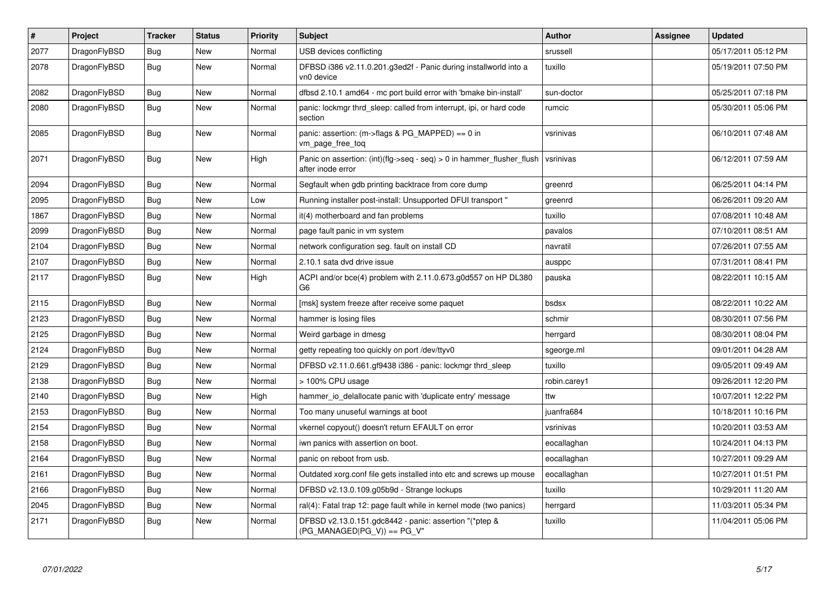| $\pmb{\#}$ | Project      | <b>Tracker</b> | <b>Status</b> | <b>Priority</b> | <b>Subject</b>                                                                                | <b>Author</b> | Assignee | Updated             |
|------------|--------------|----------------|---------------|-----------------|-----------------------------------------------------------------------------------------------|---------------|----------|---------------------|
| 2077       | DragonFlyBSD | <b>Bug</b>     | <b>New</b>    | Normal          | USB devices conflicting                                                                       | srussell      |          | 05/17/2011 05:12 PM |
| 2078       | DragonFlyBSD | <b>Bug</b>     | <b>New</b>    | Normal          | DFBSD i386 v2.11.0.201.g3ed2f - Panic during installworld into a<br>vn0 device                | tuxillo       |          | 05/19/2011 07:50 PM |
| 2082       | DragonFlyBSD | <b>Bug</b>     | <b>New</b>    | Normal          | dfbsd 2.10.1 amd64 - mc port build error with 'bmake bin-install'                             | sun-doctor    |          | 05/25/2011 07:18 PM |
| 2080       | DragonFlyBSD | Bug            | <b>New</b>    | Normal          | panic: lockmgr thrd sleep: called from interrupt, ipi, or hard code<br>section                | rumcic        |          | 05/30/2011 05:06 PM |
| 2085       | DragonFlyBSD | <b>Bug</b>     | New           | Normal          | panic: assertion: (m->flags & PG_MAPPED) == 0 in<br>vm_page_free_toq                          | vsrinivas     |          | 06/10/2011 07:48 AM |
| 2071       | DragonFlyBSD | <b>Bug</b>     | <b>New</b>    | High            | Panic on assertion: $(int)(flag->seq - seq) > 0$ in hammer flusher flush<br>after inode error | vsrinivas     |          | 06/12/2011 07:59 AM |
| 2094       | DragonFlyBSD | <b>Bug</b>     | <b>New</b>    | Normal          | Segfault when gdb printing backtrace from core dump                                           | greenrd       |          | 06/25/2011 04:14 PM |
| 2095       | DragonFlyBSD | Bug            | <b>New</b>    | Low             | Running installer post-install: Unsupported DFUI transport "                                  | greenrd       |          | 06/26/2011 09:20 AM |
| 1867       | DragonFlyBSD | Bug            | <b>New</b>    | Normal          | it(4) motherboard and fan problems                                                            | tuxillo       |          | 07/08/2011 10:48 AM |
| 2099       | DragonFlyBSD | Bug            | <b>New</b>    | Normal          | page fault panic in vm system                                                                 | pavalos       |          | 07/10/2011 08:51 AM |
| 2104       | DragonFlyBSD | Bug            | <b>New</b>    | Normal          | network configuration seg. fault on install CD                                                | navratil      |          | 07/26/2011 07:55 AM |
| 2107       | DragonFlyBSD | Bug            | <b>New</b>    | Normal          | 2.10.1 sata dvd drive issue                                                                   | ausppc        |          | 07/31/2011 08:41 PM |
| 2117       | DragonFlyBSD | <b>Bug</b>     | <b>New</b>    | High            | ACPI and/or bce(4) problem with 2.11.0.673.g0d557 on HP DL380<br>G <sub>6</sub>               | pauska        |          | 08/22/2011 10:15 AM |
| 2115       | DragonFlyBSD | <b>Bug</b>     | <b>New</b>    | Normal          | [msk] system freeze after receive some paquet                                                 | bsdsx         |          | 08/22/2011 10:22 AM |
| 2123       | DragonFlyBSD | <b>Bug</b>     | <b>New</b>    | Normal          | hammer is losing files                                                                        | schmir        |          | 08/30/2011 07:56 PM |
| 2125       | DragonFlyBSD | <b>Bug</b>     | <b>New</b>    | Normal          | Weird garbage in dmesg                                                                        | herrgard      |          | 08/30/2011 08:04 PM |
| 2124       | DragonFlyBSD | Bug            | <b>New</b>    | Normal          | getty repeating too quickly on port /dev/ttyv0                                                | sgeorge.ml    |          | 09/01/2011 04:28 AM |
| 2129       | DragonFlyBSD | Bug            | <b>New</b>    | Normal          | DFBSD v2.11.0.661.gf9438 i386 - panic: lockmgr thrd sleep                                     | tuxillo       |          | 09/05/2011 09:49 AM |
| 2138       | DragonFlyBSD | <b>Bug</b>     | <b>New</b>    | Normal          | > 100% CPU usage                                                                              | robin.carey1  |          | 09/26/2011 12:20 PM |
| 2140       | DragonFlyBSD | Bug            | New           | High            | hammer io delallocate panic with 'duplicate entry' message                                    | ttw           |          | 10/07/2011 12:22 PM |
| 2153       | DragonFlyBSD | Bug            | <b>New</b>    | Normal          | Too many unuseful warnings at boot                                                            | juanfra684    |          | 10/18/2011 10:16 PM |
| 2154       | DragonFlyBSD | <b>Bug</b>     | <b>New</b>    | Normal          | vkernel copyout() doesn't return EFAULT on error                                              | vsrinivas     |          | 10/20/2011 03:53 AM |
| 2158       | DragonFlyBSD | Bug            | <b>New</b>    | Normal          | iwn panics with assertion on boot.                                                            | eocallaghan   |          | 10/24/2011 04:13 PM |
| 2164       | DragonFlyBSD | <b>Bug</b>     | <b>New</b>    | Normal          | panic on reboot from usb.                                                                     | eocallaghan   |          | 10/27/2011 09:29 AM |
| 2161       | DragonFlyBSD | Bug            | <b>New</b>    | Normal          | Outdated xorg.conf file gets installed into etc and screws up mouse                           | eocallaghan   |          | 10/27/2011 01:51 PM |
| 2166       | DragonFlyBSD | Bug            | <b>New</b>    | Normal          | DFBSD v2.13.0.109.g05b9d - Strange lockups                                                    | tuxillo       |          | 10/29/2011 11:20 AM |
| 2045       | DragonFlyBSD | Bug            | <b>New</b>    | Normal          | ral(4): Fatal trap 12: page fault while in kernel mode (two panics)                           | herrgard      |          | 11/03/2011 05:34 PM |
| 2171       | DragonFlyBSD | Bug            | New           | Normal          | DFBSD v2.13.0.151.gdc8442 - panic: assertion "(*ptep &<br>$(PG$ MANAGED PG V)) == PG V"       | tuxillo       |          | 11/04/2011 05:06 PM |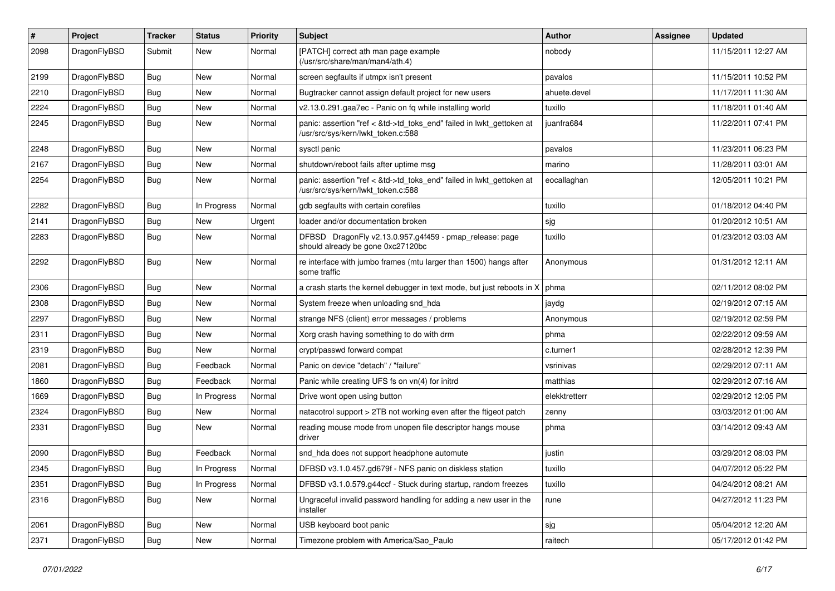| #    | Project      | <b>Tracker</b> | <b>Status</b> | <b>Priority</b> | Subject                                                                                                    | <b>Author</b> | Assignee | <b>Updated</b>      |
|------|--------------|----------------|---------------|-----------------|------------------------------------------------------------------------------------------------------------|---------------|----------|---------------------|
| 2098 | DragonFlyBSD | Submit         | New           | Normal          | [PATCH] correct ath man page example<br>(/usr/src/share/man/man4/ath.4)                                    | nobody        |          | 11/15/2011 12:27 AM |
| 2199 | DragonFlyBSD | <b>Bug</b>     | New           | Normal          | screen segfaults if utmpx isn't present                                                                    | pavalos       |          | 11/15/2011 10:52 PM |
| 2210 | DragonFlyBSD | <b>Bug</b>     | <b>New</b>    | Normal          | Bugtracker cannot assign default project for new users                                                     | ahuete.devel  |          | 11/17/2011 11:30 AM |
| 2224 | DragonFlyBSD | <b>Bug</b>     | New           | Normal          | v2.13.0.291.gaa7ec - Panic on fq while installing world                                                    | tuxillo       |          | 11/18/2011 01:40 AM |
| 2245 | DragonFlyBSD | <b>Bug</b>     | New           | Normal          | panic: assertion "ref < &td->td_toks_end" failed in lwkt_gettoken at<br>/usr/src/sys/kern/lwkt_token.c:588 | juanfra684    |          | 11/22/2011 07:41 PM |
| 2248 | DragonFlyBSD | Bug            | New           | Normal          | sysctl panic                                                                                               | pavalos       |          | 11/23/2011 06:23 PM |
| 2167 | DragonFlyBSD | <b>Bug</b>     | New           | Normal          | shutdown/reboot fails after uptime msg                                                                     | marino        |          | 11/28/2011 03:01 AM |
| 2254 | DragonFlyBSD | Bug            | New           | Normal          | panic: assertion "ref < &td->td_toks_end" failed in lwkt_gettoken at<br>/usr/src/sys/kern/lwkt_token.c:588 | eocallaghan   |          | 12/05/2011 10:21 PM |
| 2282 | DragonFlyBSD | <b>Bug</b>     | In Progress   | Normal          | gdb segfaults with certain corefiles                                                                       | tuxillo       |          | 01/18/2012 04:40 PM |
| 2141 | DragonFlyBSD | <b>Bug</b>     | <b>New</b>    | Urgent          | loader and/or documentation broken                                                                         | sjg           |          | 01/20/2012 10:51 AM |
| 2283 | DragonFlyBSD | <b>Bug</b>     | New           | Normal          | DFBSD DragonFly v2.13.0.957.g4f459 - pmap_release: page<br>should already be gone 0xc27120bc               | tuxillo       |          | 01/23/2012 03:03 AM |
| 2292 | DragonFlyBSD | Bug            | <b>New</b>    | Normal          | re interface with jumbo frames (mtu larger than 1500) hangs after<br>some traffic                          | Anonymous     |          | 01/31/2012 12:11 AM |
| 2306 | DragonFlyBSD | Bug            | New           | Normal          | a crash starts the kernel debugger in text mode, but just reboots in X                                     | phma          |          | 02/11/2012 08:02 PM |
| 2308 | DragonFlyBSD | <b>Bug</b>     | <b>New</b>    | Normal          | System freeze when unloading snd_hda                                                                       | jaydg         |          | 02/19/2012 07:15 AM |
| 2297 | DragonFlyBSD | <b>Bug</b>     | <b>New</b>    | Normal          | strange NFS (client) error messages / problems                                                             | Anonymous     |          | 02/19/2012 02:59 PM |
| 2311 | DragonFlyBSD | <b>Bug</b>     | New           | Normal          | Xorg crash having something to do with drm                                                                 | phma          |          | 02/22/2012 09:59 AM |
| 2319 | DragonFlyBSD | <b>Bug</b>     | New           | Normal          | crypt/passwd forward compat                                                                                | c.turner1     |          | 02/28/2012 12:39 PM |
| 2081 | DragonFlyBSD | <b>Bug</b>     | Feedback      | Normal          | Panic on device "detach" / "failure"                                                                       | vsrinivas     |          | 02/29/2012 07:11 AM |
| 1860 | DragonFlyBSD | <b>Bug</b>     | Feedback      | Normal          | Panic while creating UFS fs on vn(4) for initrd                                                            | matthias      |          | 02/29/2012 07:16 AM |
| 1669 | DragonFlyBSD | <b>Bug</b>     | In Progress   | Normal          | Drive wont open using button                                                                               | elekktretterr |          | 02/29/2012 12:05 PM |
| 2324 | DragonFlyBSD | Bug            | New           | Normal          | natacotrol support > 2TB not working even after the ftigeot patch                                          | zenny         |          | 03/03/2012 01:00 AM |
| 2331 | DragonFlyBSD | <b>Bug</b>     | New           | Normal          | reading mouse mode from unopen file descriptor hangs mouse<br>driver                                       | phma          |          | 03/14/2012 09:43 AM |
| 2090 | DragonFlyBSD | <b>Bug</b>     | Feedback      | Normal          | snd_hda does not support headphone automute                                                                | justin        |          | 03/29/2012 08:03 PM |
| 2345 | DragonFlyBSD | Bug            | In Progress   | Normal          | DFBSD v3.1.0.457.gd679f - NFS panic on diskless station                                                    | tuxillo       |          | 04/07/2012 05:22 PM |
| 2351 | DragonFlyBSD | <b>Bug</b>     | In Progress   | Normal          | DFBSD v3.1.0.579.g44ccf - Stuck during startup, random freezes                                             | tuxillo       |          | 04/24/2012 08:21 AM |
| 2316 | DragonFlyBSD | <b>Bug</b>     | New           | Normal          | Ungraceful invalid password handling for adding a new user in the<br>installer                             | rune          |          | 04/27/2012 11:23 PM |
| 2061 | DragonFlyBSD | <b>Bug</b>     | New           | Normal          | USB keyboard boot panic                                                                                    | sjg           |          | 05/04/2012 12:20 AM |
| 2371 | DragonFlyBSD | <b>Bug</b>     | New           | Normal          | Timezone problem with America/Sao_Paulo                                                                    | raitech       |          | 05/17/2012 01:42 PM |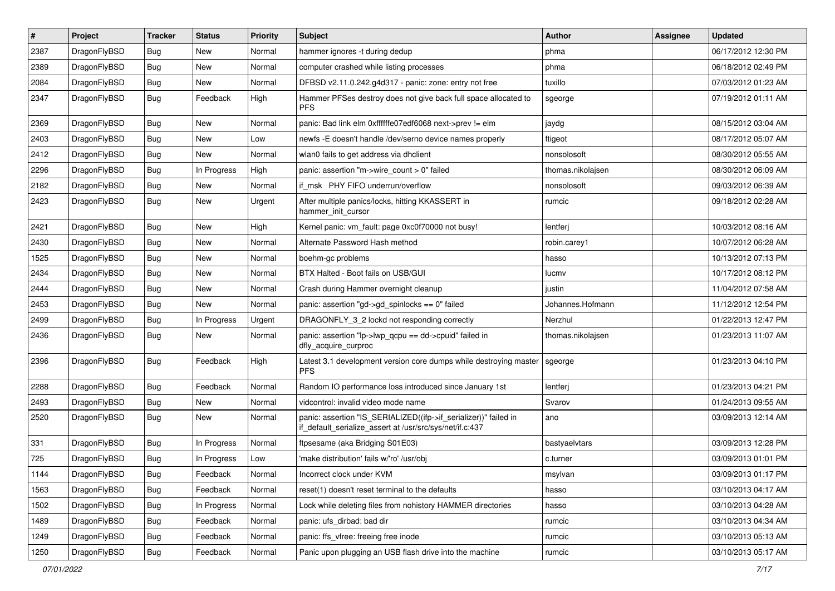| $\sharp$ | Project      | <b>Tracker</b> | <b>Status</b> | <b>Priority</b> | <b>Subject</b>                                                                                                               | <b>Author</b>     | Assignee | <b>Updated</b>      |
|----------|--------------|----------------|---------------|-----------------|------------------------------------------------------------------------------------------------------------------------------|-------------------|----------|---------------------|
| 2387     | DragonFlyBSD | <b>Bug</b>     | <b>New</b>    | Normal          | hammer ignores -t during dedup                                                                                               | phma              |          | 06/17/2012 12:30 PM |
| 2389     | DragonFlyBSD | Bug            | <b>New</b>    | Normal          | computer crashed while listing processes                                                                                     | phma              |          | 06/18/2012 02:49 PM |
| 2084     | DragonFlyBSD | <b>Bug</b>     | New           | Normal          | DFBSD v2.11.0.242.g4d317 - panic: zone: entry not free                                                                       | tuxillo           |          | 07/03/2012 01:23 AM |
| 2347     | DragonFlyBSD | Bug            | Feedback      | High            | Hammer PFSes destroy does not give back full space allocated to<br><b>PFS</b>                                                | sgeorge           |          | 07/19/2012 01:11 AM |
| 2369     | DragonFlyBSD | Bug            | <b>New</b>    | Normal          | panic: Bad link elm 0xffffffe07edf6068 next->prev != elm                                                                     | jaydg             |          | 08/15/2012 03:04 AM |
| 2403     | DragonFlyBSD | Bug            | <b>New</b>    | Low             | newfs -E doesn't handle /dev/serno device names properly                                                                     | ftigeot           |          | 08/17/2012 05:07 AM |
| 2412     | DragonFlyBSD | <b>Bug</b>     | New           | Normal          | wlan0 fails to get address via dhclient                                                                                      | nonsolosoft       |          | 08/30/2012 05:55 AM |
| 2296     | DragonFlyBSD | Bug            | In Progress   | High            | panic: assertion "m->wire count > 0" failed                                                                                  | thomas.nikolajsen |          | 08/30/2012 06:09 AM |
| 2182     | DragonFlyBSD | Bug            | New           | Normal          | if msk PHY FIFO underrun/overflow                                                                                            | nonsolosoft       |          | 09/03/2012 06:39 AM |
| 2423     | DragonFlyBSD | <b>Bug</b>     | New           | Urgent          | After multiple panics/locks, hitting KKASSERT in<br>hammer_init_cursor                                                       | rumcic            |          | 09/18/2012 02:28 AM |
| 2421     | DragonFlyBSD | Bug            | <b>New</b>    | High            | Kernel panic: vm_fault: page 0xc0f70000 not busy!                                                                            | lentferj          |          | 10/03/2012 08:16 AM |
| 2430     | DragonFlyBSD | <b>Bug</b>     | <b>New</b>    | Normal          | Alternate Password Hash method                                                                                               | robin.carey1      |          | 10/07/2012 06:28 AM |
| 1525     | DragonFlyBSD | Bug            | <b>New</b>    | Normal          | boehm-gc problems                                                                                                            | hasso             |          | 10/13/2012 07:13 PM |
| 2434     | DragonFlyBSD | <b>Bug</b>     | <b>New</b>    | Normal          | BTX Halted - Boot fails on USB/GUI                                                                                           | lucmv             |          | 10/17/2012 08:12 PM |
| 2444     | DragonFlyBSD | <b>Bug</b>     | New           | Normal          | Crash during Hammer overnight cleanup                                                                                        | justin            |          | 11/04/2012 07:58 AM |
| 2453     | DragonFlyBSD | <b>Bug</b>     | <b>New</b>    | Normal          | panic: assertion "gd->gd_spinlocks == 0" failed                                                                              | Johannes.Hofmann  |          | 11/12/2012 12:54 PM |
| 2499     | DragonFlyBSD | <b>Bug</b>     | In Progress   | Urgent          | DRAGONFLY_3_2 lockd not responding correctly                                                                                 | Nerzhul           |          | 01/22/2013 12:47 PM |
| 2436     | DragonFlyBSD | Bug            | New           | Normal          | panic: assertion "lp->lwp_qcpu == dd->cpuid" failed in<br>dfly_acquire_curproc                                               | thomas.nikolajsen |          | 01/23/2013 11:07 AM |
| 2396     | DragonFlyBSD | Bug            | Feedback      | High            | Latest 3.1 development version core dumps while destroying master<br><b>PFS</b>                                              | sgeorge           |          | 01/23/2013 04:10 PM |
| 2288     | DragonFlyBSD | Bug            | Feedback      | Normal          | Random IO performance loss introduced since January 1st                                                                      | lentferj          |          | 01/23/2013 04:21 PM |
| 2493     | DragonFlyBSD | <b>Bug</b>     | New           | Normal          | vidcontrol: invalid video mode name                                                                                          | Svarov            |          | 01/24/2013 09:55 AM |
| 2520     | DragonFlyBSD | Bug            | <b>New</b>    | Normal          | panic: assertion "IS_SERIALIZED((ifp->if_serializer))" failed in<br>if_default_serialize_assert at /usr/src/sys/net/if.c:437 | ano               |          | 03/09/2013 12:14 AM |
| 331      | DragonFlyBSD | Bug            | In Progress   | Normal          | ftpsesame (aka Bridging S01E03)                                                                                              | bastyaelvtars     |          | 03/09/2013 12:28 PM |
| 725      | DragonFlyBSD | <b>Bug</b>     | In Progress   | Low             | 'make distribution' fails w/'ro' /usr/obj                                                                                    | c.turner          |          | 03/09/2013 01:01 PM |
| 1144     | DragonFlyBSD | <b>Bug</b>     | Feedback      | Normal          | Incorrect clock under KVM                                                                                                    | msylvan           |          | 03/09/2013 01:17 PM |
| 1563     | DragonFlyBSD | Bug            | Feedback      | Normal          | reset(1) doesn't reset terminal to the defaults                                                                              | hasso             |          | 03/10/2013 04:17 AM |
| 1502     | DragonFlyBSD | <b>Bug</b>     | In Progress   | Normal          | Lock while deleting files from nohistory HAMMER directories                                                                  | hasso             |          | 03/10/2013 04:28 AM |
| 1489     | DragonFlyBSD | <b>Bug</b>     | Feedback      | Normal          | panic: ufs_dirbad: bad dir                                                                                                   | rumcic            |          | 03/10/2013 04:34 AM |
| 1249     | DragonFlyBSD | <b>Bug</b>     | Feedback      | Normal          | panic: ffs_vfree: freeing free inode                                                                                         | rumcic            |          | 03/10/2013 05:13 AM |
| 1250     | DragonFlyBSD | <b>Bug</b>     | Feedback      | Normal          | Panic upon plugging an USB flash drive into the machine                                                                      | rumcic            |          | 03/10/2013 05:17 AM |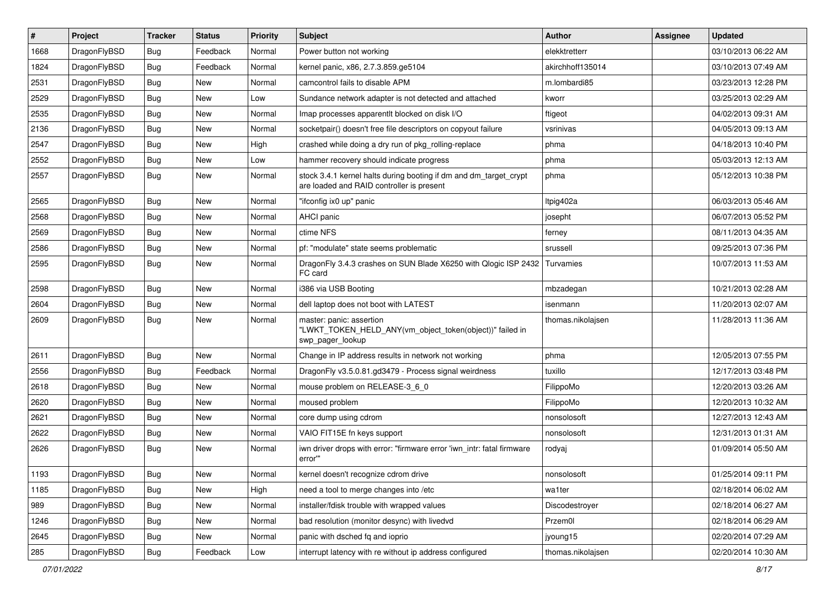| $\sharp$ | Project      | <b>Tracker</b> | <b>Status</b> | <b>Priority</b> | Subject                                                                                                        | <b>Author</b>     | Assignee | <b>Updated</b>      |
|----------|--------------|----------------|---------------|-----------------|----------------------------------------------------------------------------------------------------------------|-------------------|----------|---------------------|
| 1668     | DragonFlyBSD | <b>Bug</b>     | Feedback      | Normal          | Power button not working                                                                                       | elekktretterr     |          | 03/10/2013 06:22 AM |
| 1824     | DragonFlyBSD | Bug            | Feedback      | Normal          | kernel panic, x86, 2.7.3.859.ge5104                                                                            | akirchhoff135014  |          | 03/10/2013 07:49 AM |
| 2531     | DragonFlyBSD | <b>Bug</b>     | New           | Normal          | camcontrol fails to disable APM                                                                                | m.lombardi85      |          | 03/23/2013 12:28 PM |
| 2529     | DragonFlyBSD | <b>Bug</b>     | New           | Low             | Sundance network adapter is not detected and attached                                                          | kworr             |          | 03/25/2013 02:29 AM |
| 2535     | DragonFlyBSD | Bug            | <b>New</b>    | Normal          | Imap processes apparentlt blocked on disk I/O                                                                  | ftigeot           |          | 04/02/2013 09:31 AM |
| 2136     | DragonFlyBSD | Bug            | <b>New</b>    | Normal          | socketpair() doesn't free file descriptors on copyout failure                                                  | vsrinivas         |          | 04/05/2013 09:13 AM |
| 2547     | DragonFlyBSD | Bug            | New           | High            | crashed while doing a dry run of pkg rolling-replace                                                           | phma              |          | 04/18/2013 10:40 PM |
| 2552     | DragonFlyBSD | <b>Bug</b>     | New           | Low             | hammer recovery should indicate progress                                                                       | phma              |          | 05/03/2013 12:13 AM |
| 2557     | DragonFlyBSD | <b>Bug</b>     | New           | Normal          | stock 3.4.1 kernel halts during booting if dm and dm_target_crypt<br>are loaded and RAID controller is present | phma              |          | 05/12/2013 10:38 PM |
| 2565     | DragonFlyBSD | Bug            | New           | Normal          | "ifconfig ix0 up" panic                                                                                        | Itpig402a         |          | 06/03/2013 05:46 AM |
| 2568     | DragonFlyBSD | <b>Bug</b>     | New           | Normal          | AHCI panic                                                                                                     | josepht           |          | 06/07/2013 05:52 PM |
| 2569     | DragonFlyBSD | <b>Bug</b>     | New           | Normal          | ctime NFS                                                                                                      | ferney            |          | 08/11/2013 04:35 AM |
| 2586     | DragonFlyBSD | <b>Bug</b>     | <b>New</b>    | Normal          | pf: "modulate" state seems problematic                                                                         | srussell          |          | 09/25/2013 07:36 PM |
| 2595     | DragonFlyBSD | Bug            | New           | Normal          | DragonFly 3.4.3 crashes on SUN Blade X6250 with Qlogic ISP 2432<br>FC card                                     | Turvamies         |          | 10/07/2013 11:53 AM |
| 2598     | DragonFlyBSD | Bug            | New           | Normal          | i386 via USB Booting                                                                                           | mbzadegan         |          | 10/21/2013 02:28 AM |
| 2604     | DragonFlyBSD | Bug            | <b>New</b>    | Normal          | dell laptop does not boot with LATEST                                                                          | isenmann          |          | 11/20/2013 02:07 AM |
| 2609     | DragonFlyBSD | Bug            | New           | Normal          | master: panic: assertion<br>"LWKT_TOKEN_HELD_ANY(vm_object_token(object))" failed in<br>swp_pager_lookup       | thomas.nikolajsen |          | 11/28/2013 11:36 AM |
| 2611     | DragonFlyBSD | Bug            | New           | Normal          | Change in IP address results in network not working                                                            | phma              |          | 12/05/2013 07:55 PM |
| 2556     | DragonFlyBSD | Bug            | Feedback      | Normal          | DragonFly v3.5.0.81.gd3479 - Process signal weirdness                                                          | tuxillo           |          | 12/17/2013 03:48 PM |
| 2618     | DragonFlyBSD | <b>Bug</b>     | New           | Normal          | mouse problem on RELEASE-3_6_0                                                                                 | FilippoMo         |          | 12/20/2013 03:26 AM |
| 2620     | DragonFlyBSD | <b>Bug</b>     | New           | Normal          | moused problem                                                                                                 | FilippoMo         |          | 12/20/2013 10:32 AM |
| 2621     | DragonFlyBSD | Bug            | <b>New</b>    | Normal          | core dump using cdrom                                                                                          | nonsolosoft       |          | 12/27/2013 12:43 AM |
| 2622     | DragonFlyBSD | <b>Bug</b>     | New           | Normal          | VAIO FIT15E fn keys support                                                                                    | nonsolosoft       |          | 12/31/2013 01:31 AM |
| 2626     | DragonFlyBSD | <b>Bug</b>     | New           | Normal          | iwn driver drops with error: "firmware error 'iwn_intr: fatal firmware<br>error""                              | rodyaj            |          | 01/09/2014 05:50 AM |
| 1193     | DragonFlyBSD | <b>Bug</b>     | <b>New</b>    | Normal          | kernel doesn't recognize cdrom drive                                                                           | nonsolosoft       |          | 01/25/2014 09:11 PM |
| 1185     | DragonFlyBSD | <b>Bug</b>     | <b>New</b>    | High            | need a tool to merge changes into /etc                                                                         | wa1ter            |          | 02/18/2014 06:02 AM |
| 989      | DragonFlyBSD | <b>Bug</b>     | New           | Normal          | installer/fdisk trouble with wrapped values                                                                    | Discodestroyer    |          | 02/18/2014 06:27 AM |
| 1246     | DragonFlyBSD | <b>Bug</b>     | <b>New</b>    | Normal          | bad resolution (monitor desync) with livedvd                                                                   | Przem0l           |          | 02/18/2014 06:29 AM |
| 2645     | DragonFlyBSD | <b>Bug</b>     | New           | Normal          | panic with dsched fq and ioprio                                                                                | jyoung15          |          | 02/20/2014 07:29 AM |
| 285      | DragonFlyBSD | <b>Bug</b>     | Feedback      | Low             | interrupt latency with re without ip address configured                                                        | thomas.nikolajsen |          | 02/20/2014 10:30 AM |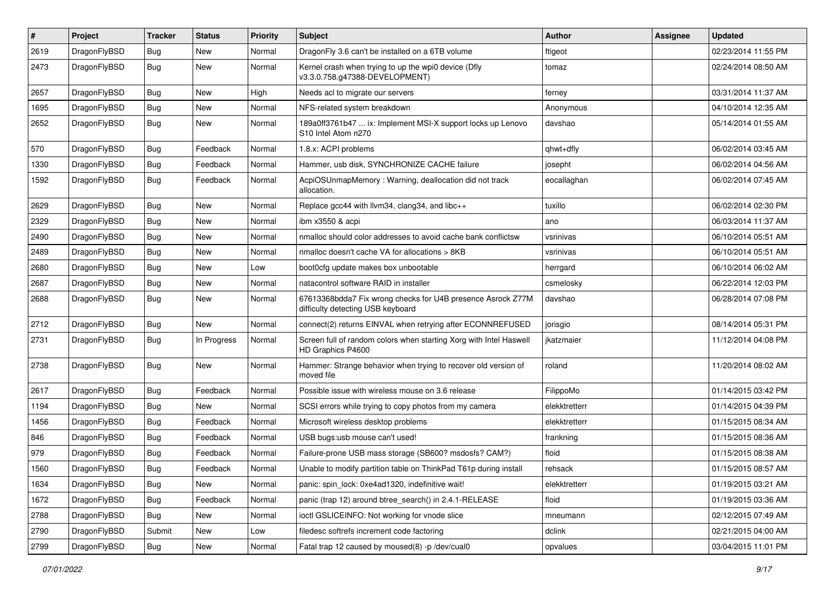| ∦    | Project      | <b>Tracker</b> | <b>Status</b> | <b>Priority</b> | Subject                                                                                          | Author        | Assignee | <b>Updated</b>      |
|------|--------------|----------------|---------------|-----------------|--------------------------------------------------------------------------------------------------|---------------|----------|---------------------|
| 2619 | DragonFlyBSD | Bug            | New           | Normal          | DragonFly 3.6 can't be installed on a 6TB volume                                                 | ftigeot       |          | 02/23/2014 11:55 PM |
| 2473 | DragonFlyBSD | Bug            | New           | Normal          | Kernel crash when trying to up the wpi0 device (Dfly<br>v3.3.0.758.g47388-DEVELOPMENT)           | tomaz         |          | 02/24/2014 08:50 AM |
| 2657 | DragonFlyBSD | <b>Bug</b>     | <b>New</b>    | High            | Needs acl to migrate our servers                                                                 | ferney        |          | 03/31/2014 11:37 AM |
| 1695 | DragonFlyBSD | <b>Bug</b>     | <b>New</b>    | Normal          | NFS-related system breakdown                                                                     | Anonymous     |          | 04/10/2014 12:35 AM |
| 2652 | DragonFlyBSD | Bug            | New           | Normal          | 189a0ff3761b47  ix: Implement MSI-X support locks up Lenovo<br>S10 Intel Atom n270               | davshao       |          | 05/14/2014 01:55 AM |
| 570  | DragonFlyBSD | <b>Bug</b>     | Feedback      | Normal          | 1.8.x: ACPI problems                                                                             | qhwt+dfly     |          | 06/02/2014 03:45 AM |
| 1330 | DragonFlyBSD | <b>Bug</b>     | Feedback      | Normal          | Hammer, usb disk, SYNCHRONIZE CACHE failure                                                      | josepht       |          | 06/02/2014 04:56 AM |
| 1592 | DragonFlyBSD | Bug            | Feedback      | Normal          | AcpiOSUnmapMemory: Warning, deallocation did not track<br>allocation.                            | eocallaghan   |          | 06/02/2014 07:45 AM |
| 2629 | DragonFlyBSD | Bug            | <b>New</b>    | Normal          | Replace gcc44 with llvm34, clang34, and libc++                                                   | tuxillo       |          | 06/02/2014 02:30 PM |
| 2329 | DragonFlyBSD | <b>Bug</b>     | <b>New</b>    | Normal          | ibm x3550 & acpi                                                                                 | ano           |          | 06/03/2014 11:37 AM |
| 2490 | DragonFlyBSD | Bug            | New           | Normal          | nmalloc should color addresses to avoid cache bank conflictsw                                    | vsrinivas     |          | 06/10/2014 05:51 AM |
| 2489 | DragonFlyBSD | Bug            | <b>New</b>    | Normal          | nmalloc doesn't cache VA for allocations > 8KB                                                   | vsrinivas     |          | 06/10/2014 05:51 AM |
| 2680 | DragonFlyBSD | <b>Bug</b>     | New           | Low             | boot0cfg update makes box unbootable                                                             | herrgard      |          | 06/10/2014 06:02 AM |
| 2687 | DragonFlyBSD | Bug            | <b>New</b>    | Normal          | natacontrol software RAID in installer                                                           | csmelosky     |          | 06/22/2014 12:03 PM |
| 2688 | DragonFlyBSD | Bug            | New           | Normal          | 67613368bdda7 Fix wrong checks for U4B presence Asrock Z77M<br>difficulty detecting USB keyboard | davshao       |          | 06/28/2014 07:08 PM |
| 2712 | DragonFlyBSD | <b>Bug</b>     | New           | Normal          | connect(2) returns EINVAL when retrying after ECONNREFUSED                                       | jorisgio      |          | 08/14/2014 05:31 PM |
| 2731 | DragonFlyBSD | Bug            | In Progress   | Normal          | Screen full of random colors when starting Xorg with Intel Haswell<br>HD Graphics P4600          | ikatzmaier    |          | 11/12/2014 04:08 PM |
| 2738 | DragonFlyBSD | Bug            | <b>New</b>    | Normal          | Hammer: Strange behavior when trying to recover old version of<br>moved file                     | roland        |          | 11/20/2014 08:02 AM |
| 2617 | DragonFlyBSD | Bug            | Feedback      | Normal          | Possible issue with wireless mouse on 3.6 release                                                | FilippoMo     |          | 01/14/2015 03:42 PM |
| 1194 | DragonFlyBSD | <b>Bug</b>     | New           | Normal          | SCSI errors while trying to copy photos from my camera                                           | elekktretterr |          | 01/14/2015 04:39 PM |
| 1456 | DragonFlyBSD | <b>Bug</b>     | Feedback      | Normal          | Microsoft wireless desktop problems                                                              | elekktretterr |          | 01/15/2015 08:34 AM |
| 846  | DragonFlyBSD | <b>Bug</b>     | Feedback      | Normal          | USB bugs:usb mouse can't used!                                                                   | frankning     |          | 01/15/2015 08:36 AM |
| 979  | DragonFlyBSD | Bug            | Feedback      | Normal          | Failure-prone USB mass storage (SB600? msdosfs? CAM?)                                            | floid         |          | 01/15/2015 08:38 AM |
| 1560 | DragonFlyBSD | Bug            | Feedback      | Normal          | Unable to modify partition table on ThinkPad T61p during install                                 | rehsack       |          | 01/15/2015 08:57 AM |
| 1634 | DragonFlyBSD | Bug            | New           | Normal          | panic: spin_lock: 0xe4ad1320, indefinitive wait!                                                 | elekktretterr |          | 01/19/2015 03:21 AM |
| 1672 | DragonFlyBSD | <b>Bug</b>     | Feedback      | Normal          | panic (trap 12) around btree_search() in 2.4.1-RELEASE                                           | floid         |          | 01/19/2015 03:36 AM |
| 2788 | DragonFlyBSD | <b>Bug</b>     | New           | Normal          | ioctl GSLICEINFO: Not working for vnode slice                                                    | mneumann      |          | 02/12/2015 07:49 AM |
| 2790 | DragonFlyBSD | Submit         | New           | Low             | filedesc softrefs increment code factoring                                                       | dclink        |          | 02/21/2015 04:00 AM |
| 2799 | DragonFlyBSD | Bug            | New           | Normal          | Fatal trap 12 caused by moused(8) -p/dev/cual0                                                   | opvalues      |          | 03/04/2015 11:01 PM |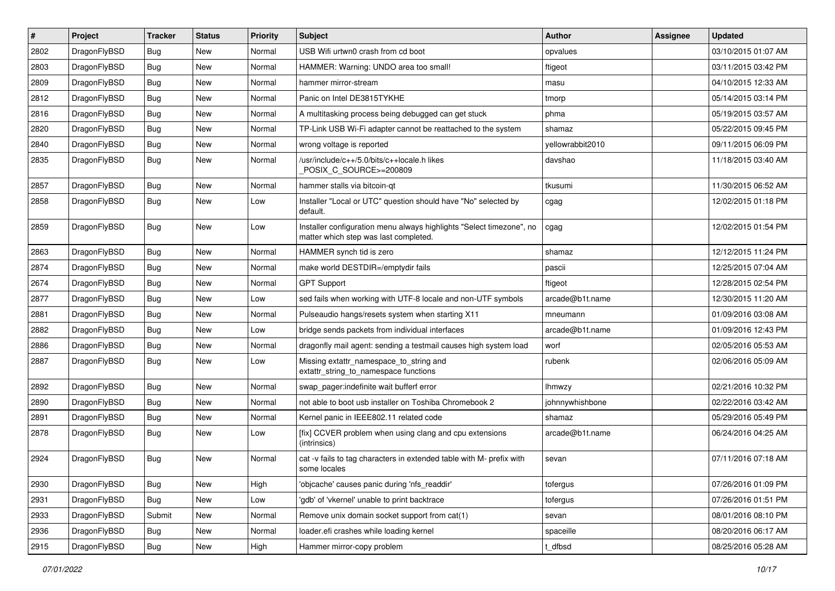| $\sharp$ | Project      | <b>Tracker</b> | <b>Status</b> | <b>Priority</b> | Subject                                                                                                       | <b>Author</b>    | Assignee | <b>Updated</b>      |
|----------|--------------|----------------|---------------|-----------------|---------------------------------------------------------------------------------------------------------------|------------------|----------|---------------------|
| 2802     | DragonFlyBSD | Bug            | <b>New</b>    | Normal          | USB Wifi urtwn0 crash from cd boot                                                                            | opvalues         |          | 03/10/2015 01:07 AM |
| 2803     | DragonFlyBSD | Bug            | <b>New</b>    | Normal          | HAMMER: Warning: UNDO area too small!                                                                         | ftigeot          |          | 03/11/2015 03:42 PM |
| 2809     | DragonFlyBSD | <b>Bug</b>     | <b>New</b>    | Normal          | hammer mirror-stream                                                                                          | masu             |          | 04/10/2015 12:33 AM |
| 2812     | DragonFlyBSD | <b>Bug</b>     | New           | Normal          | Panic on Intel DE3815TYKHE                                                                                    | tmorp            |          | 05/14/2015 03:14 PM |
| 2816     | DragonFlyBSD | Bug            | <b>New</b>    | Normal          | A multitasking process being debugged can get stuck                                                           | phma             |          | 05/19/2015 03:57 AM |
| 2820     | DragonFlyBSD | Bug            | New           | Normal          | TP-Link USB Wi-Fi adapter cannot be reattached to the system                                                  | shamaz           |          | 05/22/2015 09:45 PM |
| 2840     | DragonFlyBSD | <b>Bug</b>     | <b>New</b>    | Normal          | wrong voltage is reported                                                                                     | yellowrabbit2010 |          | 09/11/2015 06:09 PM |
| 2835     | DragonFlyBSD | <b>Bug</b>     | <b>New</b>    | Normal          | /usr/include/c++/5.0/bits/c++locale.h likes<br>POSIX_C_SOURCE>=200809                                         | davshao          |          | 11/18/2015 03:40 AM |
| 2857     | DragonFlyBSD | <b>Bug</b>     | New           | Normal          | hammer stalls via bitcoin-qt                                                                                  | tkusumi          |          | 11/30/2015 06:52 AM |
| 2858     | DragonFlyBSD | <b>Bug</b>     | <b>New</b>    | Low             | Installer "Local or UTC" question should have "No" selected by<br>default.                                    | cgag             |          | 12/02/2015 01:18 PM |
| 2859     | DragonFlyBSD | <b>Bug</b>     | New           | Low             | Installer configuration menu always highlights "Select timezone", no<br>matter which step was last completed. | cgag             |          | 12/02/2015 01:54 PM |
| 2863     | DragonFlyBSD | Bug            | <b>New</b>    | Normal          | HAMMER synch tid is zero                                                                                      | shamaz           |          | 12/12/2015 11:24 PM |
| 2874     | DragonFlyBSD | <b>Bug</b>     | <b>New</b>    | Normal          | make world DESTDIR=/emptydir fails                                                                            | pascii           |          | 12/25/2015 07:04 AM |
| 2674     | DragonFlyBSD | <b>Bug</b>     | <b>New</b>    | Normal          | <b>GPT Support</b>                                                                                            | ftigeot          |          | 12/28/2015 02:54 PM |
| 2877     | DragonFlyBSD | Bug            | <b>New</b>    | Low             | sed fails when working with UTF-8 locale and non-UTF symbols                                                  | arcade@b1t.name  |          | 12/30/2015 11:20 AM |
| 2881     | DragonFlyBSD | <b>Bug</b>     | <b>New</b>    | Normal          | Pulseaudio hangs/resets system when starting X11                                                              | mneumann         |          | 01/09/2016 03:08 AM |
| 2882     | DragonFlyBSD | Bug            | <b>New</b>    | Low             | bridge sends packets from individual interfaces                                                               | arcade@b1t.name  |          | 01/09/2016 12:43 PM |
| 2886     | DragonFlyBSD | <b>Bug</b>     | <b>New</b>    | Normal          | dragonfly mail agent: sending a testmail causes high system load                                              | worf             |          | 02/05/2016 05:53 AM |
| 2887     | DragonFlyBSD | <b>Bug</b>     | New           | Low             | Missing extattr_namespace_to_string and<br>extattr_string_to_namespace functions                              | rubenk           |          | 02/06/2016 05:09 AM |
| 2892     | DragonFlyBSD | Bug            | <b>New</b>    | Normal          | swap_pager:indefinite wait bufferf error                                                                      | <b>Ihmwzy</b>    |          | 02/21/2016 10:32 PM |
| 2890     | DragonFlyBSD | <b>Bug</b>     | <b>New</b>    | Normal          | not able to boot usb installer on Toshiba Chromebook 2                                                        | johnnywhishbone  |          | 02/22/2016 03:42 AM |
| 2891     | DragonFlyBSD | Bug            | <b>New</b>    | Normal          | Kernel panic in IEEE802.11 related code                                                                       | shamaz           |          | 05/29/2016 05:49 PM |
| 2878     | DragonFlyBSD | <b>Bug</b>     | <b>New</b>    | Low             | [fix] CCVER problem when using clang and cpu extensions<br>(intrinsics)                                       | arcade@b1t.name  |          | 06/24/2016 04:25 AM |
| 2924     | DragonFlyBSD | <b>Bug</b>     | <b>New</b>    | Normal          | cat -v fails to tag characters in extended table with M- prefix with<br>some locales                          | sevan            |          | 07/11/2016 07:18 AM |
| 2930     | DragonFlyBSD | Bug            | New           | High            | 'objcache' causes panic during 'nfs_readdir'                                                                  | tofergus         |          | 07/26/2016 01:09 PM |
| 2931     | DragonFlyBSD | Bug            | New           | Low             | 'gdb' of 'vkernel' unable to print backtrace                                                                  | tofergus         |          | 07/26/2016 01:51 PM |
| 2933     | DragonFlyBSD | Submit         | New           | Normal          | Remove unix domain socket support from cat(1)                                                                 | sevan            |          | 08/01/2016 08:10 PM |
| 2936     | DragonFlyBSD | <b>Bug</b>     | New           | Normal          | loader.efi crashes while loading kernel                                                                       | spaceille        |          | 08/20/2016 06:17 AM |
| 2915     | DragonFlyBSD | <b>Bug</b>     | New           | High            | Hammer mirror-copy problem                                                                                    | t_dfbsd          |          | 08/25/2016 05:28 AM |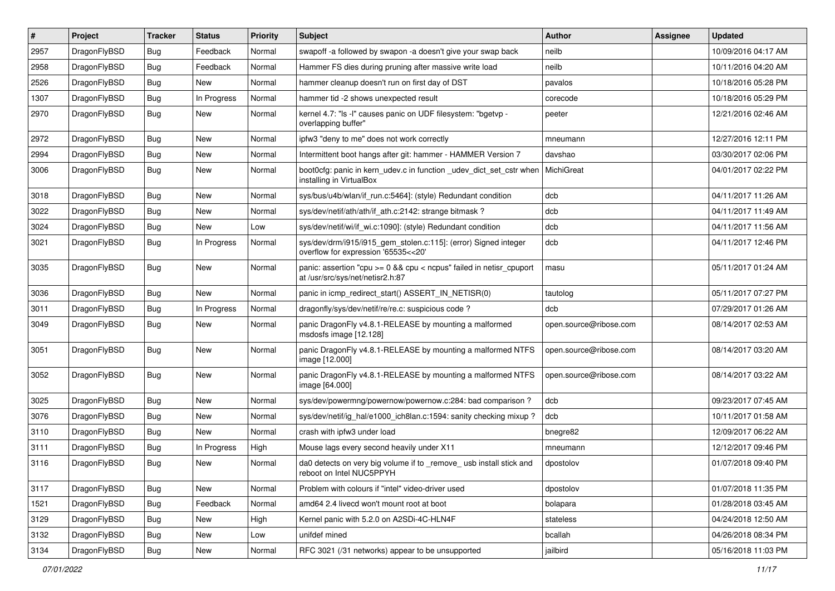| $\sharp$ | Project      | <b>Tracker</b> | <b>Status</b> | <b>Priority</b> | Subject                                                                                                 | <b>Author</b>          | <b>Assignee</b> | <b>Updated</b>      |
|----------|--------------|----------------|---------------|-----------------|---------------------------------------------------------------------------------------------------------|------------------------|-----------------|---------------------|
| 2957     | DragonFlyBSD | <b>Bug</b>     | Feedback      | Normal          | swapoff -a followed by swapon -a doesn't give your swap back                                            | neilb                  |                 | 10/09/2016 04:17 AM |
| 2958     | DragonFlyBSD | Bug            | Feedback      | Normal          | Hammer FS dies during pruning after massive write load                                                  | neilb                  |                 | 10/11/2016 04:20 AM |
| 2526     | DragonFlyBSD | Bug            | New           | Normal          | hammer cleanup doesn't run on first day of DST                                                          | pavalos                |                 | 10/18/2016 05:28 PM |
| 1307     | DragonFlyBSD | Bug            | In Progress   | Normal          | hammer tid -2 shows unexpected result                                                                   | corecode               |                 | 10/18/2016 05:29 PM |
| 2970     | DragonFlyBSD | Bug            | New           | Normal          | kernel 4.7: "Is -I" causes panic on UDF filesystem: "bgetvp -<br>overlapping buffer"                    | peeter                 |                 | 12/21/2016 02:46 AM |
| 2972     | DragonFlyBSD | Bug            | New           | Normal          | ipfw3 "deny to me" does not work correctly                                                              | mneumann               |                 | 12/27/2016 12:11 PM |
| 2994     | DragonFlyBSD | Bug            | New           | Normal          | Intermittent boot hangs after git: hammer - HAMMER Version 7                                            | davshao                |                 | 03/30/2017 02:06 PM |
| 3006     | DragonFlyBSD | <b>Bug</b>     | New           | Normal          | boot0cfg: panic in kern_udev.c in function _udev_dict_set_cstr when<br>installing in VirtualBox         | MichiGreat             |                 | 04/01/2017 02:22 PM |
| 3018     | DragonFlyBSD | <b>Bug</b>     | New           | Normal          | sys/bus/u4b/wlan/if run.c:5464]: (style) Redundant condition                                            | dcb                    |                 | 04/11/2017 11:26 AM |
| 3022     | DragonFlyBSD | Bug            | New           | Normal          | sys/dev/netif/ath/ath/if ath.c:2142: strange bitmask?                                                   | dcb                    |                 | 04/11/2017 11:49 AM |
| 3024     | DragonFlyBSD | <b>Bug</b>     | New           | Low             | sys/dev/netif/wi/if_wi.c:1090]: (style) Redundant condition                                             | dcb                    |                 | 04/11/2017 11:56 AM |
| 3021     | DragonFlyBSD | <b>Bug</b>     | In Progress   | Normal          | sys/dev/drm/i915/i915_gem_stolen.c:115]: (error) Signed integer<br>overflow for expression '65535<<20'  | dcb                    |                 | 04/11/2017 12:46 PM |
| 3035     | DragonFlyBSD | Bug            | New           | Normal          | panic: assertion "cpu >= 0 && cpu < ncpus" failed in netisr_cpuport<br>at /usr/src/sys/net/netisr2.h:87 | masu                   |                 | 05/11/2017 01:24 AM |
| 3036     | DragonFlyBSD | <b>Bug</b>     | <b>New</b>    | Normal          | panic in icmp_redirect_start() ASSERT_IN_NETISR(0)                                                      | tautolog               |                 | 05/11/2017 07:27 PM |
| 3011     | DragonFlyBSD | Bug            | In Progress   | Normal          | dragonfly/sys/dev/netif/re/re.c: suspicious code?                                                       | dcb                    |                 | 07/29/2017 01:26 AM |
| 3049     | DragonFlyBSD | Bug            | New           | Normal          | panic DragonFly v4.8.1-RELEASE by mounting a malformed<br>msdosfs image [12.128]                        | open.source@ribose.com |                 | 08/14/2017 02:53 AM |
| 3051     | DragonFlyBSD | <b>Bug</b>     | New           | Normal          | panic DragonFly v4.8.1-RELEASE by mounting a malformed NTFS<br>image [12.000]                           | open.source@ribose.com |                 | 08/14/2017 03:20 AM |
| 3052     | DragonFlyBSD | <b>Bug</b>     | <b>New</b>    | Normal          | panic DragonFly v4.8.1-RELEASE by mounting a malformed NTFS<br>image [64.000]                           | open.source@ribose.com |                 | 08/14/2017 03:22 AM |
| 3025     | DragonFlyBSD | <b>Bug</b>     | <b>New</b>    | Normal          | sys/dev/powermng/powernow/powernow.c:284: bad comparison ?                                              | dcb                    |                 | 09/23/2017 07:45 AM |
| 3076     | DragonFlyBSD | Bug            | New           | Normal          | sys/dev/netif/ig_hal/e1000_ich8lan.c:1594: sanity checking mixup ?                                      | dcb                    |                 | 10/11/2017 01:58 AM |
| 3110     | DragonFlyBSD | <b>Bug</b>     | New           | Normal          | crash with ipfw3 under load                                                                             | bnegre82               |                 | 12/09/2017 06:22 AM |
| 3111     | DragonFlyBSD | <b>Bug</b>     | In Progress   | High            | Mouse lags every second heavily under X11                                                               | mneumann               |                 | 12/12/2017 09:46 PM |
| 3116     | DragonFlyBSD | <b>Bug</b>     | New           | Normal          | da0 detects on very big volume if to remove usb install stick and<br>reboot on Intel NUC5PPYH           | dpostolov              |                 | 01/07/2018 09:40 PM |
| 3117     | DragonFlyBSD | <b>Bug</b>     | New           | Normal          | Problem with colours if "intel" video-driver used                                                       | dpostolov              |                 | 01/07/2018 11:35 PM |
| 1521     | DragonFlyBSD | <b>Bug</b>     | Feedback      | Normal          | amd64 2.4 livecd won't mount root at boot                                                               | bolapara               |                 | 01/28/2018 03:45 AM |
| 3129     | DragonFlyBSD | <b>Bug</b>     | New           | High            | Kernel panic with 5.2.0 on A2SDi-4C-HLN4F                                                               | stateless              |                 | 04/24/2018 12:50 AM |
| 3132     | DragonFlyBSD | Bug            | New           | Low             | unifdef mined                                                                                           | bcallah                |                 | 04/26/2018 08:34 PM |
| 3134     | DragonFlyBSD | <b>Bug</b>     | New           | Normal          | RFC 3021 (/31 networks) appear to be unsupported                                                        | jailbird               |                 | 05/16/2018 11:03 PM |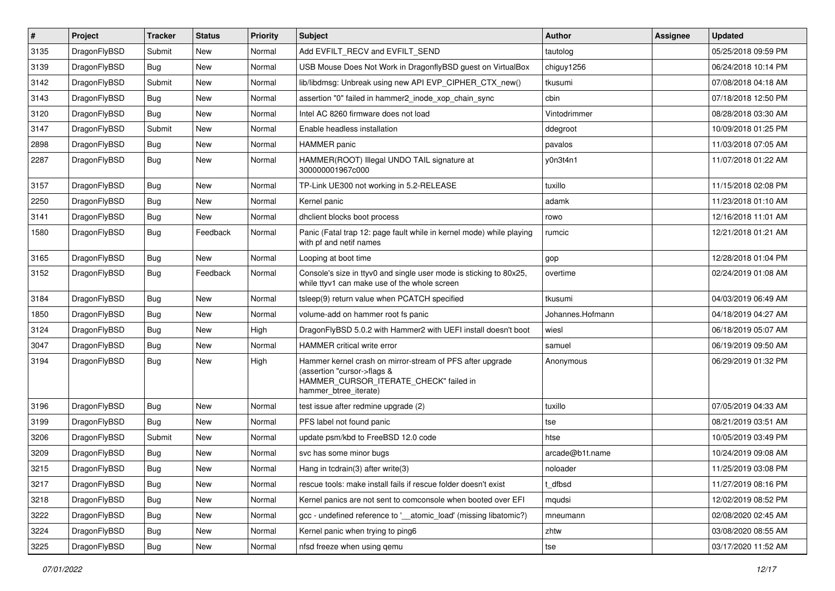| $\sharp$ | Project      | <b>Tracker</b> | <b>Status</b> | Priority | Subject                                                                                                                                                     | <b>Author</b>    | Assignee | <b>Updated</b>      |
|----------|--------------|----------------|---------------|----------|-------------------------------------------------------------------------------------------------------------------------------------------------------------|------------------|----------|---------------------|
| 3135     | DragonFlyBSD | Submit         | New           | Normal   | Add EVFILT_RECV and EVFILT_SEND                                                                                                                             | tautolog         |          | 05/25/2018 09:59 PM |
| 3139     | DragonFlyBSD | Bug            | <b>New</b>    | Normal   | USB Mouse Does Not Work in DragonflyBSD guest on VirtualBox                                                                                                 | chiguy1256       |          | 06/24/2018 10:14 PM |
| 3142     | DragonFlyBSD | Submit         | New           | Normal   | lib/libdmsg: Unbreak using new API EVP_CIPHER_CTX_new()                                                                                                     | tkusumi          |          | 07/08/2018 04:18 AM |
| 3143     | DragonFlyBSD | <b>Bug</b>     | <b>New</b>    | Normal   | assertion "0" failed in hammer2_inode_xop_chain_sync                                                                                                        | cbin             |          | 07/18/2018 12:50 PM |
| 3120     | DragonFlyBSD | Bug            | <b>New</b>    | Normal   | Intel AC 8260 firmware does not load                                                                                                                        | Vintodrimmer     |          | 08/28/2018 03:30 AM |
| 3147     | DragonFlyBSD | Submit         | <b>New</b>    | Normal   | Enable headless installation                                                                                                                                | ddegroot         |          | 10/09/2018 01:25 PM |
| 2898     | DragonFlyBSD | <b>Bug</b>     | New           | Normal   | <b>HAMMER</b> panic                                                                                                                                         | pavalos          |          | 11/03/2018 07:05 AM |
| 2287     | DragonFlyBSD | <b>Bug</b>     | <b>New</b>    | Normal   | HAMMER(ROOT) Illegal UNDO TAIL signature at<br>300000001967c000                                                                                             | y0n3t4n1         |          | 11/07/2018 01:22 AM |
| 3157     | DragonFlyBSD | <b>Bug</b>     | <b>New</b>    | Normal   | TP-Link UE300 not working in 5.2-RELEASE                                                                                                                    | tuxillo          |          | 11/15/2018 02:08 PM |
| 2250     | DragonFlyBSD | <b>Bug</b>     | New           | Normal   | Kernel panic                                                                                                                                                | adamk            |          | 11/23/2018 01:10 AM |
| 3141     | DragonFlyBSD | <b>Bug</b>     | New           | Normal   | dhclient blocks boot process                                                                                                                                | rowo             |          | 12/16/2018 11:01 AM |
| 1580     | DragonFlyBSD | <b>Bug</b>     | Feedback      | Normal   | Panic (Fatal trap 12: page fault while in kernel mode) while playing<br>with pf and netif names                                                             | rumcic           |          | 12/21/2018 01:21 AM |
| 3165     | DragonFlyBSD | <b>Bug</b>     | New           | Normal   | Looping at boot time                                                                                                                                        | gop              |          | 12/28/2018 01:04 PM |
| 3152     | DragonFlyBSD | <b>Bug</b>     | Feedback      | Normal   | Console's size in ttyv0 and single user mode is sticking to 80x25,<br>while ttyv1 can make use of the whole screen                                          | overtime         |          | 02/24/2019 01:08 AM |
| 3184     | DragonFlyBSD | <b>Bug</b>     | New           | Normal   | tsleep(9) return value when PCATCH specified                                                                                                                | tkusumi          |          | 04/03/2019 06:49 AM |
| 1850     | DragonFlyBSD | <b>Bug</b>     | <b>New</b>    | Normal   | volume-add on hammer root fs panic                                                                                                                          | Johannes.Hofmann |          | 04/18/2019 04:27 AM |
| 3124     | DragonFlyBSD | <b>Bug</b>     | New           | High     | DragonFlyBSD 5.0.2 with Hammer2 with UEFI install doesn't boot                                                                                              | wiesl            |          | 06/18/2019 05:07 AM |
| 3047     | DragonFlyBSD | Bug            | <b>New</b>    | Normal   | HAMMER critical write error                                                                                                                                 | samuel           |          | 06/19/2019 09:50 AM |
| 3194     | DragonFlyBSD | <b>Bug</b>     | <b>New</b>    | High     | Hammer kernel crash on mirror-stream of PFS after upgrade<br>(assertion "cursor->flags &<br>HAMMER_CURSOR_ITERATE_CHECK" failed in<br>hammer_btree_iterate) | Anonymous        |          | 06/29/2019 01:32 PM |
| 3196     | DragonFlyBSD | <b>Bug</b>     | <b>New</b>    | Normal   | test issue after redmine upgrade (2)                                                                                                                        | tuxillo          |          | 07/05/2019 04:33 AM |
| 3199     | DragonFlyBSD | <b>Bug</b>     | New           | Normal   | PFS label not found panic                                                                                                                                   | tse              |          | 08/21/2019 03:51 AM |
| 3206     | DragonFlyBSD | Submit         | New           | Normal   | update psm/kbd to FreeBSD 12.0 code                                                                                                                         | htse             |          | 10/05/2019 03:49 PM |
| 3209     | DragonFlyBSD | <b>Bug</b>     | <b>New</b>    | Normal   | svc has some minor bugs                                                                                                                                     | arcade@b1t.name  |          | 10/24/2019 09:08 AM |
| 3215     | DragonFlyBSD | Bug            | <b>New</b>    | Normal   | Hang in todrain(3) after write(3)                                                                                                                           | noloader         |          | 11/25/2019 03:08 PM |
| 3217     | DragonFlyBSD | <b>Bug</b>     | New           | Normal   | rescue tools: make install fails if rescue folder doesn't exist                                                                                             | t_dfbsd          |          | 11/27/2019 08:16 PM |
| 3218     | DragonFlyBSD | <b>Bug</b>     | New           | Normal   | Kernel panics are not sent to comconsole when booted over EFI                                                                                               | mqudsi           |          | 12/02/2019 08:52 PM |
| 3222     | DragonFlyBSD | <b>Bug</b>     | New           | Normal   | gcc - undefined reference to '__atomic_load' (missing libatomic?)                                                                                           | mneumann         |          | 02/08/2020 02:45 AM |
| 3224     | DragonFlyBSD | <b>Bug</b>     | New           | Normal   | Kernel panic when trying to ping6                                                                                                                           | zhtw             |          | 03/08/2020 08:55 AM |
| 3225     | DragonFlyBSD | <b>Bug</b>     | New           | Normal   | nfsd freeze when using qemu                                                                                                                                 | tse              |          | 03/17/2020 11:52 AM |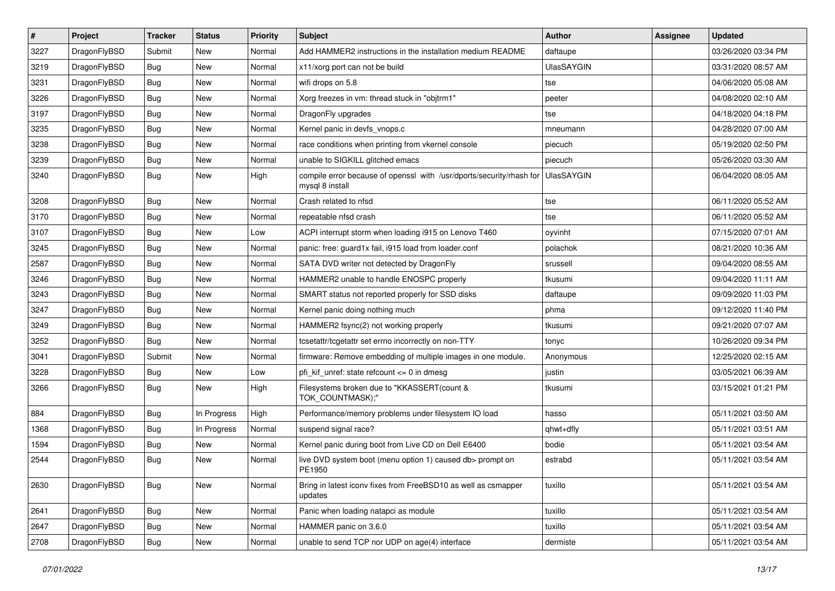| $\sharp$ | Project      | <b>Tracker</b> | <b>Status</b> | <b>Priority</b> | Subject                                                                                 | <b>Author</b>     | Assignee | <b>Updated</b>      |
|----------|--------------|----------------|---------------|-----------------|-----------------------------------------------------------------------------------------|-------------------|----------|---------------------|
| 3227     | DragonFlyBSD | Submit         | New           | Normal          | Add HAMMER2 instructions in the installation medium README                              | daftaupe          |          | 03/26/2020 03:34 PM |
| 3219     | DragonFlyBSD | <b>Bug</b>     | <b>New</b>    | Normal          | x11/xorg port can not be build                                                          | <b>UlasSAYGIN</b> |          | 03/31/2020 08:57 AM |
| 3231     | DragonFlyBSD | <b>Bug</b>     | <b>New</b>    | Normal          | wifi drops on 5.8                                                                       | tse               |          | 04/06/2020 05:08 AM |
| 3226     | DragonFlyBSD | <b>Bug</b>     | New           | Normal          | Xorg freezes in vm: thread stuck in "objtrm1"                                           | peeter            |          | 04/08/2020 02:10 AM |
| 3197     | DragonFlyBSD | <b>Bug</b>     | <b>New</b>    | Normal          | DragonFly upgrades                                                                      | tse               |          | 04/18/2020 04:18 PM |
| 3235     | DragonFlyBSD | <b>Bug</b>     | <b>New</b>    | Normal          | Kernel panic in devfs vnops.c                                                           | mneumann          |          | 04/28/2020 07:00 AM |
| 3238     | DragonFlyBSD | <b>Bug</b>     | New           | Normal          | race conditions when printing from vkernel console                                      | piecuch           |          | 05/19/2020 02:50 PM |
| 3239     | DragonFlyBSD | <b>Bug</b>     | <b>New</b>    | Normal          | unable to SIGKILL glitched emacs                                                        | piecuch           |          | 05/26/2020 03:30 AM |
| 3240     | DragonFlyBSD | <b>Bug</b>     | New           | High            | compile error because of openssl with /usr/dports/security/rhash for<br>mysql 8 install | <b>UlasSAYGIN</b> |          | 06/04/2020 08:05 AM |
| 3208     | DragonFlyBSD | <b>Bug</b>     | <b>New</b>    | Normal          | Crash related to nfsd                                                                   | tse               |          | 06/11/2020 05:52 AM |
| 3170     | DragonFlyBSD | <b>Bug</b>     | New           | Normal          | repeatable nfsd crash                                                                   | tse               |          | 06/11/2020 05:52 AM |
| 3107     | DragonFlyBSD | Bug            | <b>New</b>    | Low             | ACPI interrupt storm when loading i915 on Lenovo T460                                   | oyvinht           |          | 07/15/2020 07:01 AM |
| 3245     | DragonFlyBSD | <b>Bug</b>     | <b>New</b>    | Normal          | panic: free: guard1x fail, i915 load from loader.conf                                   | polachok          |          | 08/21/2020 10:36 AM |
| 2587     | DragonFlyBSD | <b>Bug</b>     | New           | Normal          | SATA DVD writer not detected by DragonFly                                               | srussell          |          | 09/04/2020 08:55 AM |
| 3246     | DragonFlyBSD | <b>Bug</b>     | <b>New</b>    | Normal          | HAMMER2 unable to handle ENOSPC properly                                                | tkusumi           |          | 09/04/2020 11:11 AM |
| 3243     | DragonFlyBSD | <b>Bug</b>     | New           | Normal          | SMART status not reported properly for SSD disks                                        | daftaupe          |          | 09/09/2020 11:03 PM |
| 3247     | DragonFlyBSD | Bug            | <b>New</b>    | Normal          | Kernel panic doing nothing much                                                         | phma              |          | 09/12/2020 11:40 PM |
| 3249     | DragonFlyBSD | <b>Bug</b>     | New           | Normal          | HAMMER2 fsync(2) not working properly                                                   | tkusumi           |          | 09/21/2020 07:07 AM |
| 3252     | DragonFlyBSD | Bug            | <b>New</b>    | Normal          | tcsetattr/tcgetattr set errno incorrectly on non-TTY                                    | tonyc             |          | 10/26/2020 09:34 PM |
| 3041     | DragonFlyBSD | Submit         | New           | Normal          | firmware: Remove embedding of multiple images in one module.                            | Anonymous         |          | 12/25/2020 02:15 AM |
| 3228     | DragonFlyBSD | <b>Bug</b>     | New           | Low             | pfi_kif_unref: state refcount <= 0 in dmesg                                             | justin            |          | 03/05/2021 06:39 AM |
| 3266     | DragonFlyBSD | <b>Bug</b>     | New           | High            | Filesystems broken due to "KKASSERT(count &<br>TOK_COUNTMASK);"                         | tkusumi           |          | 03/15/2021 01:21 PM |
| 884      | DragonFlyBSD | <b>Bug</b>     | In Progress   | High            | Performance/memory problems under filesystem IO load                                    | hasso             |          | 05/11/2021 03:50 AM |
| 1368     | DragonFlyBSD | Bug            | In Progress   | Normal          | suspend signal race?                                                                    | qhwt+dfly         |          | 05/11/2021 03:51 AM |
| 1594     | DragonFlyBSD | <b>Bug</b>     | <b>New</b>    | Normal          | Kernel panic during boot from Live CD on Dell E6400                                     | bodie             |          | 05/11/2021 03:54 AM |
| 2544     | DragonFlyBSD | Bug            | New           | Normal          | live DVD system boot (menu option 1) caused db> prompt on<br>PE1950                     | estrabd           |          | 05/11/2021 03:54 AM |
| 2630     | DragonFlyBSD | Bug            | <b>New</b>    | Normal          | Bring in latest iconv fixes from FreeBSD10 as well as csmapper<br>updates               | tuxillo           |          | 05/11/2021 03:54 AM |
| 2641     | DragonFlyBSD | Bug            | New           | Normal          | Panic when loading natapci as module                                                    | tuxillo           |          | 05/11/2021 03:54 AM |
| 2647     | DragonFlyBSD | <b>Bug</b>     | <b>New</b>    | Normal          | HAMMER panic on 3.6.0                                                                   | tuxillo           |          | 05/11/2021 03:54 AM |
| 2708     | DragonFlyBSD | Bug            | New           | Normal          | unable to send TCP nor UDP on age(4) interface                                          | dermiste          |          | 05/11/2021 03:54 AM |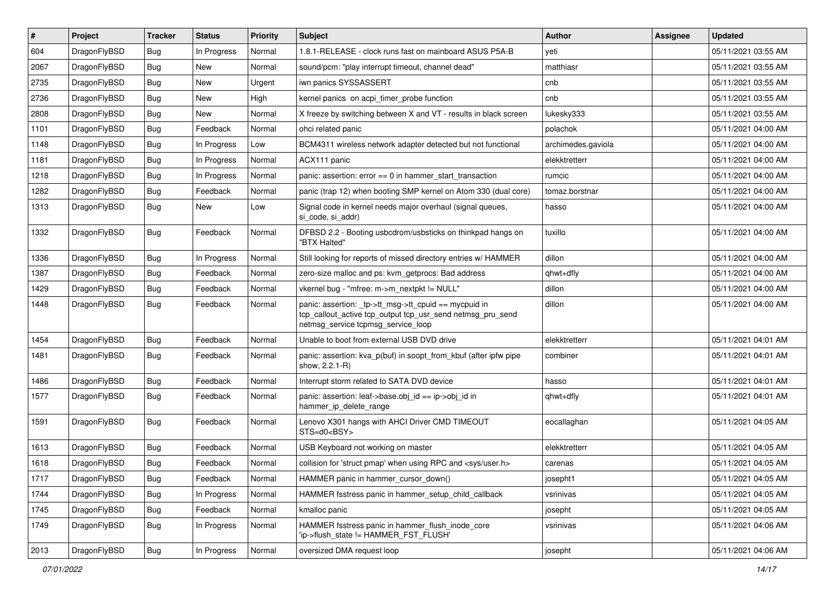| #    | Project      | <b>Tracker</b> | <b>Status</b> | <b>Priority</b> | <b>Subject</b>                                                                                                                                            | <b>Author</b>      | <b>Assignee</b> | <b>Updated</b>      |
|------|--------------|----------------|---------------|-----------------|-----------------------------------------------------------------------------------------------------------------------------------------------------------|--------------------|-----------------|---------------------|
| 604  | DragonFlyBSD | Bug            | In Progress   | Normal          | 1.8.1-RELEASE - clock runs fast on mainboard ASUS P5A-B                                                                                                   | yeti               |                 | 05/11/2021 03:55 AM |
| 2067 | DragonFlyBSD | Bug            | <b>New</b>    | Normal          | sound/pcm: "play interrupt timeout, channel dead"                                                                                                         | matthiasr          |                 | 05/11/2021 03:55 AM |
| 2735 | DragonFlyBSD | <b>Bug</b>     | New           | Urgent          | iwn panics SYSSASSERT                                                                                                                                     | cnb                |                 | 05/11/2021 03:55 AM |
| 2736 | DragonFlyBSD | <b>Bug</b>     | <b>New</b>    | High            | kernel panics on acpi_timer_probe function                                                                                                                | cnb                |                 | 05/11/2021 03:55 AM |
| 2808 | DragonFlyBSD | Bug            | <b>New</b>    | Normal          | X freeze by switching between X and VT - results in black screen                                                                                          | lukesky333         |                 | 05/11/2021 03:55 AM |
| 1101 | DragonFlyBSD | <b>Bug</b>     | Feedback      | Normal          | ohci related panic                                                                                                                                        | polachok           |                 | 05/11/2021 04:00 AM |
| 1148 | DragonFlyBSD | Bug            | In Progress   | Low             | BCM4311 wireless network adapter detected but not functional                                                                                              | archimedes.gaviola |                 | 05/11/2021 04:00 AM |
| 1181 | DragonFlyBSD | <b>Bug</b>     | In Progress   | Normal          | ACX111 panic                                                                                                                                              | elekktretterr      |                 | 05/11/2021 04:00 AM |
| 1218 | DragonFlyBSD | <b>Bug</b>     | In Progress   | Normal          | panic: assertion: $error == 0$ in hammer start transaction                                                                                                | rumcic             |                 | 05/11/2021 04:00 AM |
| 1282 | DragonFlyBSD | Bug            | Feedback      | Normal          | panic (trap 12) when booting SMP kernel on Atom 330 (dual core)                                                                                           | tomaz.borstnar     |                 | 05/11/2021 04:00 AM |
| 1313 | DragonFlyBSD | <b>Bug</b>     | New           | Low             | Signal code in kernel needs major overhaul (signal queues,<br>si_code, si_addr)                                                                           | hasso              |                 | 05/11/2021 04:00 AM |
| 1332 | DragonFlyBSD | <b>Bug</b>     | Feedback      | Normal          | DFBSD 2.2 - Booting usbcdrom/usbsticks on thinkpad hangs on<br>"BTX Halted"                                                                               | tuxillo            |                 | 05/11/2021 04:00 AM |
| 1336 | DragonFlyBSD | Bug            | In Progress   | Normal          | Still looking for reports of missed directory entries w/ HAMMER                                                                                           | dillon             |                 | 05/11/2021 04:00 AM |
| 1387 | DragonFlyBSD | <b>Bug</b>     | Feedback      | Normal          | zero-size malloc and ps: kvm_getprocs: Bad address                                                                                                        | qhwt+dfly          |                 | 05/11/2021 04:00 AM |
| 1429 | DragonFlyBSD | Bug            | Feedback      | Normal          | vkernel bug - "mfree: m->m_nextpkt != NULL"                                                                                                               | dillon             |                 | 05/11/2021 04:00 AM |
| 1448 | DragonFlyBSD | Bug            | Feedback      | Normal          | panic: assertion: _tp->tt_msg->tt_cpuid == mycpuid in<br>tcp_callout_active tcp_output tcp_usr_send netmsg_pru_send<br>netmsg_service tcpmsg_service_loop | dillon             |                 | 05/11/2021 04:00 AM |
| 1454 | DragonFlyBSD | <b>Bug</b>     | Feedback      | Normal          | Unable to boot from external USB DVD drive                                                                                                                | elekktretterr      |                 | 05/11/2021 04:01 AM |
| 1481 | DragonFlyBSD | Bug            | Feedback      | Normal          | panic: assertion: kva p(buf) in soopt from kbuf (after ipfw pipe<br>show, 2.2.1-R)                                                                        | combiner           |                 | 05/11/2021 04:01 AM |
| 1486 | DragonFlyBSD | Bug            | Feedback      | Normal          | Interrupt storm related to SATA DVD device                                                                                                                | hasso              |                 | 05/11/2021 04:01 AM |
| 1577 | DragonFlyBSD | <b>Bug</b>     | Feedback      | Normal          | panic: assertion: leaf->base.obj id == ip->obj id in<br>hammer_ip_delete_range                                                                            | qhwt+dfly          |                 | 05/11/2021 04:01 AM |
| 1591 | DragonFlyBSD | <b>Bug</b>     | Feedback      | Normal          | Lenovo X301 hangs with AHCI Driver CMD TIMEOUT<br>STS=d0 <bsy></bsy>                                                                                      | eocallaghan        |                 | 05/11/2021 04:05 AM |
| 1613 | DragonFlyBSD | Bug            | Feedback      | Normal          | USB Keyboard not working on master                                                                                                                        | elekktretterr      |                 | 05/11/2021 04:05 AM |
| 1618 | DragonFlyBSD | <b>Bug</b>     | Feedback      | Normal          | collision for 'struct pmap' when using RPC and <sys user.h=""></sys>                                                                                      | carenas            |                 | 05/11/2021 04:05 AM |
| 1717 | DragonFlyBSD | <b>Bug</b>     | Feedback      | Normal          | HAMMER panic in hammer_cursor_down()                                                                                                                      | josepht1           |                 | 05/11/2021 04:05 AM |
| 1744 | DragonFlyBSD | Bug            | In Progress   | Normal          | HAMMER fsstress panic in hammer_setup_child_callback                                                                                                      | vsrinivas          |                 | 05/11/2021 04:05 AM |
| 1745 | DragonFlyBSD | Bug            | Feedback      | Normal          | kmalloc panic                                                                                                                                             | josepht            |                 | 05/11/2021 04:05 AM |
| 1749 | DragonFlyBSD | <b>Bug</b>     | In Progress   | Normal          | HAMMER fsstress panic in hammer flush inode core<br>'ip->flush_state != HAMMER_FST_FLUSH'                                                                 | vsrinivas          |                 | 05/11/2021 04:06 AM |
| 2013 | DragonFlyBSD | <b>Bug</b>     | In Progress   | Normal          | oversized DMA request loop                                                                                                                                | josepht            |                 | 05/11/2021 04:06 AM |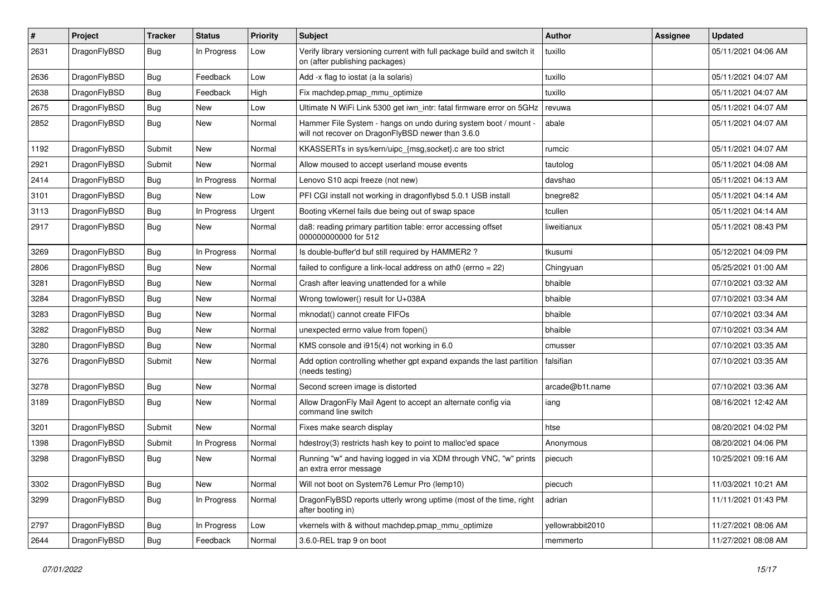| #    | Project      | <b>Tracker</b> | <b>Status</b> | <b>Priority</b> | Subject                                                                                                              | <b>Author</b>    | Assignee | <b>Updated</b>      |
|------|--------------|----------------|---------------|-----------------|----------------------------------------------------------------------------------------------------------------------|------------------|----------|---------------------|
| 2631 | DragonFlyBSD | <b>Bug</b>     | In Progress   | Low             | Verify library versioning current with full package build and switch it<br>on (after publishing packages)            | tuxillo          |          | 05/11/2021 04:06 AM |
| 2636 | DragonFlyBSD | <b>Bug</b>     | Feedback      | Low             | Add -x flag to iostat (a la solaris)                                                                                 | tuxillo          |          | 05/11/2021 04:07 AM |
| 2638 | DragonFlyBSD | <b>Bug</b>     | Feedback      | High            | Fix machdep.pmap mmu optimize                                                                                        | tuxillo          |          | 05/11/2021 04:07 AM |
| 2675 | DragonFlyBSD | <b>Bug</b>     | <b>New</b>    | Low             | Ultimate N WiFi Link 5300 get iwn_intr: fatal firmware error on 5GHz                                                 | revuwa           |          | 05/11/2021 04:07 AM |
| 2852 | DragonFlyBSD | <b>Bug</b>     | New           | Normal          | Hammer File System - hangs on undo during system boot / mount -<br>will not recover on DragonFlyBSD newer than 3.6.0 | abale            |          | 05/11/2021 04:07 AM |
| 1192 | DragonFlyBSD | Submit         | New           | Normal          | KKASSERTs in sys/kern/uipc {msg,socket}.c are too strict                                                             | rumcic           |          | 05/11/2021 04:07 AM |
| 2921 | DragonFlyBSD | Submit         | New           | Normal          | Allow moused to accept userland mouse events                                                                         | tautolog         |          | 05/11/2021 04:08 AM |
| 2414 | DragonFlyBSD | Bug            | In Progress   | Normal          | Lenovo S10 acpi freeze (not new)                                                                                     | davshao          |          | 05/11/2021 04:13 AM |
| 3101 | DragonFlyBSD | <b>Bug</b>     | New           | Low             | PFI CGI install not working in dragonflybsd 5.0.1 USB install                                                        | bnegre82         |          | 05/11/2021 04:14 AM |
| 3113 | DragonFlyBSD | <b>Bug</b>     | In Progress   | Urgent          | Booting vKernel fails due being out of swap space                                                                    | tcullen          |          | 05/11/2021 04:14 AM |
| 2917 | DragonFlyBSD | Bug            | New           | Normal          | da8: reading primary partition table: error accessing offset<br>000000000000 for 512                                 | liweitianux      |          | 05/11/2021 08:43 PM |
| 3269 | DragonFlyBSD | Bug            | In Progress   | Normal          | Is double-buffer'd buf still required by HAMMER2 ?                                                                   | tkusumi          |          | 05/12/2021 04:09 PM |
| 2806 | DragonFlyBSD | <b>Bug</b>     | New           | Normal          | failed to configure a link-local address on ath $0$ (errno = 22)                                                     | Chingyuan        |          | 05/25/2021 01:00 AM |
| 3281 | DragonFlyBSD | <b>Bug</b>     | New           | Normal          | Crash after leaving unattended for a while                                                                           | bhaible          |          | 07/10/2021 03:32 AM |
| 3284 | DragonFlyBSD | Bug            | New           | Normal          | Wrong towlower() result for U+038A                                                                                   | bhaible          |          | 07/10/2021 03:34 AM |
| 3283 | DragonFlyBSD | <b>Bug</b>     | New           | Normal          | mknodat() cannot create FIFOs                                                                                        | bhaible          |          | 07/10/2021 03:34 AM |
| 3282 | DragonFlyBSD | <b>Bug</b>     | <b>New</b>    | Normal          | unexpected errno value from fopen()                                                                                  | bhaible          |          | 07/10/2021 03:34 AM |
| 3280 | DragonFlyBSD | <b>Bug</b>     | New           | Normal          | KMS console and i915(4) not working in 6.0                                                                           | cmusser          |          | 07/10/2021 03:35 AM |
| 3276 | DragonFlyBSD | Submit         | New           | Normal          | Add option controlling whether gpt expand expands the last partition<br>(needs testing)                              | falsifian        |          | 07/10/2021 03:35 AM |
| 3278 | DragonFlyBSD | Bug            | <b>New</b>    | Normal          | Second screen image is distorted                                                                                     | arcade@b1t.name  |          | 07/10/2021 03:36 AM |
| 3189 | DragonFlyBSD | <b>Bug</b>     | New           | Normal          | Allow DragonFly Mail Agent to accept an alternate config via<br>command line switch                                  | iang             |          | 08/16/2021 12:42 AM |
| 3201 | DragonFlyBSD | Submit         | <b>New</b>    | Normal          | Fixes make search display                                                                                            | htse             |          | 08/20/2021 04:02 PM |
| 1398 | DragonFlyBSD | Submit         | In Progress   | Normal          | hdestroy(3) restricts hash key to point to malloc'ed space                                                           | Anonymous        |          | 08/20/2021 04:06 PM |
| 3298 | DragonFlyBSD | Bug            | New           | Normal          | Running "w" and having logged in via XDM through VNC, "w" prints<br>an extra error message                           | piecuch          |          | 10/25/2021 09:16 AM |
| 3302 | DragonFlyBSD | <b>Bug</b>     | New           | Normal          | Will not boot on System76 Lemur Pro (lemp10)                                                                         | piecuch          |          | 11/03/2021 10:21 AM |
| 3299 | DragonFlyBSD | <b>Bug</b>     | In Progress   | Normal          | DragonFlyBSD reports utterly wrong uptime (most of the time, right<br>after booting in)                              | adrian           |          | 11/11/2021 01:43 PM |
| 2797 | DragonFlyBSD | <b>Bug</b>     | In Progress   | Low             | vkernels with & without machdep.pmap_mmu_optimize                                                                    | yellowrabbit2010 |          | 11/27/2021 08:06 AM |
| 2644 | DragonFlyBSD | Bug            | Feedback      | Normal          | 3.6.0-REL trap 9 on boot                                                                                             | memmerto         |          | 11/27/2021 08:08 AM |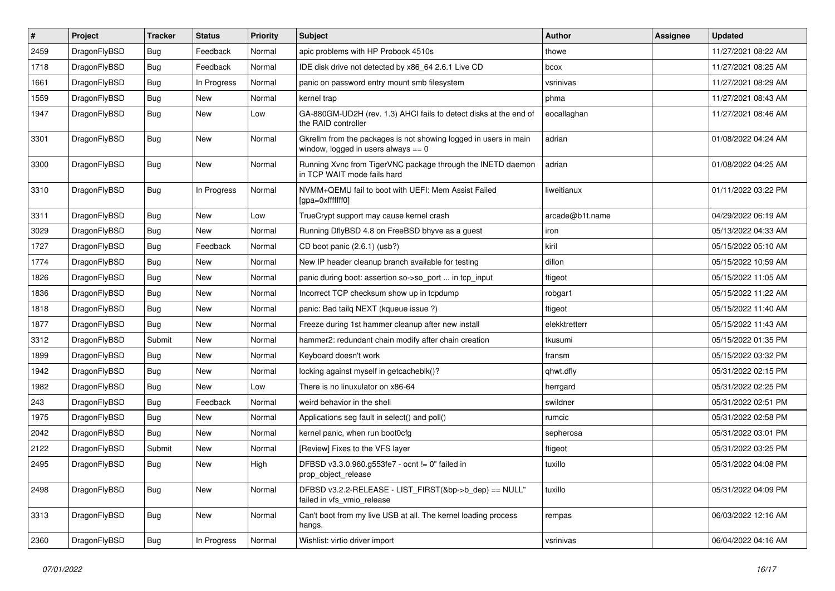| #    | Project      | <b>Tracker</b> | <b>Status</b> | <b>Priority</b> | Subject                                                                                                   | Author          | <b>Assignee</b> | <b>Updated</b>      |
|------|--------------|----------------|---------------|-----------------|-----------------------------------------------------------------------------------------------------------|-----------------|-----------------|---------------------|
| 2459 | DragonFlyBSD | Bug            | Feedback      | Normal          | apic problems with HP Probook 4510s                                                                       | thowe           |                 | 11/27/2021 08:22 AM |
| 1718 | DragonFlyBSD | <b>Bug</b>     | Feedback      | Normal          | IDE disk drive not detected by x86_64 2.6.1 Live CD                                                       | bcox            |                 | 11/27/2021 08:25 AM |
| 1661 | DragonFlyBSD | Bug            | In Progress   | Normal          | panic on password entry mount smb filesystem                                                              | vsrinivas       |                 | 11/27/2021 08:29 AM |
| 1559 | DragonFlyBSD | <b>Bug</b>     | New           | Normal          | kernel trap                                                                                               | phma            |                 | 11/27/2021 08:43 AM |
| 1947 | DragonFlyBSD | <b>Bug</b>     | New           | Low             | GA-880GM-UD2H (rev. 1.3) AHCI fails to detect disks at the end of<br>the RAID controller                  | eocallaghan     |                 | 11/27/2021 08:46 AM |
| 3301 | DragonFlyBSD | <b>Bug</b>     | New           | Normal          | Gkrellm from the packages is not showing logged in users in main<br>window, logged in users always $== 0$ | adrian          |                 | 01/08/2022 04:24 AM |
| 3300 | DragonFlyBSD | Bug            | <b>New</b>    | Normal          | Running Xvnc from TigerVNC package through the INETD daemon<br>in TCP WAIT mode fails hard                | adrian          |                 | 01/08/2022 04:25 AM |
| 3310 | DragonFlyBSD | Bug            | In Progress   | Normal          | NVMM+QEMU fail to boot with UEFI: Mem Assist Failed<br>[gpa=0xfffffff0]                                   | liweitianux     |                 | 01/11/2022 03:22 PM |
| 3311 | DragonFlyBSD | Bug            | New           | Low             | TrueCrypt support may cause kernel crash                                                                  | arcade@b1t.name |                 | 04/29/2022 06:19 AM |
| 3029 | DragonFlyBSD | <b>Bug</b>     | New           | Normal          | Running DflyBSD 4.8 on FreeBSD bhyve as a guest                                                           | iron            |                 | 05/13/2022 04:33 AM |
| 1727 | DragonFlyBSD | <b>Bug</b>     | Feedback      | Normal          | CD boot panic (2.6.1) (usb?)                                                                              | kiril           |                 | 05/15/2022 05:10 AM |
| 1774 | DragonFlyBSD | <b>Bug</b>     | New           | Normal          | New IP header cleanup branch available for testing                                                        | dillon          |                 | 05/15/2022 10:59 AM |
| 1826 | DragonFlyBSD | <b>Bug</b>     | New           | Normal          | panic during boot: assertion so->so_port  in tcp_input                                                    | ftigeot         |                 | 05/15/2022 11:05 AM |
| 1836 | DragonFlyBSD | Bug            | New           | Normal          | Incorrect TCP checksum show up in tcpdump                                                                 | robgar1         |                 | 05/15/2022 11:22 AM |
| 1818 | DragonFlyBSD | <b>Bug</b>     | New           | Normal          | panic: Bad tailg NEXT (kqueue issue ?)                                                                    | ftigeot         |                 | 05/15/2022 11:40 AM |
| 1877 | DragonFlyBSD | <b>Bug</b>     | <b>New</b>    | Normal          | Freeze during 1st hammer cleanup after new install                                                        | elekktretterr   |                 | 05/15/2022 11:43 AM |
| 3312 | DragonFlyBSD | Submit         | <b>New</b>    | Normal          | hammer2: redundant chain modify after chain creation                                                      | tkusumi         |                 | 05/15/2022 01:35 PM |
| 1899 | DragonFlyBSD | <b>Bug</b>     | New           | Normal          | Keyboard doesn't work                                                                                     | fransm          |                 | 05/15/2022 03:32 PM |
| 1942 | DragonFlyBSD | Bug            | New           | Normal          | locking against myself in getcacheblk()?                                                                  | qhwt.dfly       |                 | 05/31/2022 02:15 PM |
| 1982 | DragonFlyBSD | Bug            | New           | Low             | There is no linuxulator on x86-64                                                                         | herrgard        |                 | 05/31/2022 02:25 PM |
| 243  | DragonFlyBSD | <b>Bug</b>     | Feedback      | Normal          | weird behavior in the shell                                                                               | swildner        |                 | 05/31/2022 02:51 PM |
| 1975 | DragonFlyBSD | <b>Bug</b>     | <b>New</b>    | Normal          | Applications seg fault in select() and poll()                                                             | rumcic          |                 | 05/31/2022 02:58 PM |
| 2042 | DragonFlyBSD | Bug            | New           | Normal          | kernel panic, when run boot0cfg                                                                           | sepherosa       |                 | 05/31/2022 03:01 PM |
| 2122 | DragonFlyBSD | Submit         | New           | Normal          | [Review] Fixes to the VFS layer                                                                           | ftigeot         |                 | 05/31/2022 03:25 PM |
| 2495 | DragonFlyBSD | <b>Bug</b>     | New           | High            | DFBSD v3.3.0.960.g553fe7 - ocnt != 0" failed in<br>prop_object_release                                    | tuxillo         |                 | 05/31/2022 04:08 PM |
| 2498 | DragonFlyBSD | <b>Bug</b>     | New           | Normal          | DFBSD v3.2.2-RELEASE - LIST_FIRST(&bp->b_dep) == NULL"<br>failed in vfs_vmio_release                      | tuxillo         |                 | 05/31/2022 04:09 PM |
| 3313 | DragonFlyBSD | <b>Bug</b>     | New           | Normal          | Can't boot from my live USB at all. The kernel loading process<br>hangs.                                  | rempas          |                 | 06/03/2022 12:16 AM |
| 2360 | DragonFlyBSD | <b>Bug</b>     | In Progress   | Normal          | Wishlist: virtio driver import                                                                            | vsrinivas       |                 | 06/04/2022 04:16 AM |